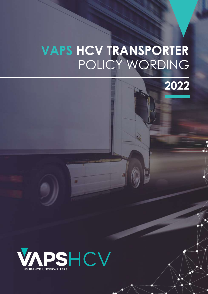## $\overline{C}$ **VAPS HCV TRANSPORTER**  POLICY WORDING



**VAPS HCV TRANSPORTER**

Policy Wording

 $\sim$   $\sim$   $\sim$   $\sim$   $\sim$ 

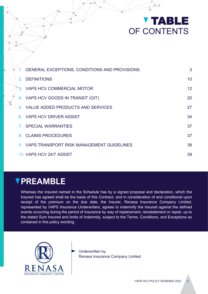# **V TABLE** OF CONTENTS

| 1. GENERAL EXCEPTIONS, CONDITIONS AND PROVISIONS | 3  |
|--------------------------------------------------|----|
| 2. DEFINITIONS                                   | 10 |
| 3. VAPS HCV COMMERCIAL MOTOR                     | 12 |
| 4. VAPS HCV GOODS IN TRANSIT (GIT)               | 20 |
| 5. VALUE ADDED PRODUCTS AND SERVICES             | 27 |
| 6. VAPS HCV DRIVER ASSIST                        | 34 |
| 7. SPECIAL WARRANTIES                            | 37 |
| 8. CLAIMS PROCEDURES                             | 37 |
| 9. VAPS TRANSPORT RISK MANAGEMENT GUIDELINES     | 38 |
| 10. VAPS HCV 24/7 ASSIST                         | 39 |

## **PREAMBLE**

Whereas the Insured named in the Schedule has by a signed proposal and declaration, which the Insured has agreed shall be the basis of this Contract, and in consideration of and conditional upon receipt of the premium on the due date, the Insurer, Renasa Insurance Company Limited, represented by VAPS Insurance Underwriters, agrees to indemnify the Insured against the defined events occurring during the period of insurance by way of replacement, reinstatement or repair, up to the stated Sum Insured and limits of Indemnity, subject to the Terms, Conditions, and Exceptions as contained in this policy wording.



Underwritten by Renasa Insurance Company Limited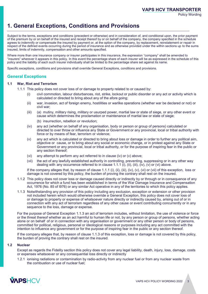## **1. General Exceptions, Conditions and Provisions**

Subject to the terms, exceptions and conditions (precedent or otherwise) and in consideration of, and conditional upon, the prior payment of the premium by or on behalf of the insured and receipt thereof by or on behalf of the company, the company specified in the schedule agrees to indemnify or compensate the insured by payment or, at the option of the company, by replacement, reinstatement or repair in respect of the defined events occurring during the period of insurance and as otherwise provided under the within sections up to the sums insured, limits of indemnity, compensation and other amounts specified.

Where more than one insurance company or insurer participates in this insurance, the expression "company" shall be amended to "insurers" wherever it appears in this policy. In this event the percentage share of each insurer will be as expressed in the schedule of this policy and the liability of each such insurer individually shall be limited to the percentage share set against its name.

Specific exceptions, conditions and provisions shall override General Exceptions, conditions and provisions.

### **General Exceptions**

#### **1.1 War, Riot and Terrorism**

- 1.1.1 This policy does not cover loss of or damage to property related to or caused by:
	- (i) civil commotion, labour disturbances, riot, strike, lockout or public disorder or any act or activity which is calculated or directed to bring about any of the afore going;
	- (ii) war, invasion, act of foreign enemy, hostilities or warlike operations (whether war be declared or not) or civil war;
	- (iii) (a) mutiny, military rising, military or usurped power, martial law or state of siege, or any other event or cause which determines the proclamation or maintenance of martial law or state of siege;
		- (b) insurrection, rebellion or revolution;
	- (iv) any act (whether on behalf of any organisation, body or person or group of persons) calculated or directed to over throw or influence any State or Government or any provincial, local or tribal authority with force or by means of fear, terrorism or violence;
	- (v) any act which is calculated or directed to bring about loss or damage in order to further any political aim, objective or cause, or to bring about any social or economic change, or in protest against any State or Government or any provincial, local or tribal authority, or for the purpose of inspiring fear in the public or any section thereof;
	- (vi) any attempt to perform any act referred to in clause (iv) or (v) above;
	- (vii) the act of any lawfully established authority in controlling, preventing, suppressing or in any other way dealing with any occurrence referred to in clause 1.1.1 (i), (ii), (iii), (iv), (v) or (vi) above.

If the company alleges that, by reason of clause 1.1.1 (i), (ii), (iii), (iv), (v), (vi) or (vii) of this exception, loss or damage is not covered by this policy, the burden of proving the contrary shall rest on the insured.

- 1.1.2 This policy does not cover loss or damage caused directly or indirectly by or through or in consequence of any occurrence for which a fund has been established in terms of the War Damage Insurance and Compensation Act, 1976 (No. 85 of l976) or any similar Act operative in any of the territories to which this policy applies.
- 1.1.3 Notwithstanding any provision of this policy including any exclusion, exception or extension or other provision not included herein which would otherwise override a General Exception, this policy does not cover loss of or damage to property or expense of whatsoever nature directly or indirectly caused by, arising out of or in connection with any act of terrorism regardless of any other cause or event contributing concurrently or in any sequence to the loss, damage or expense.

For the purpose of General Exception 1.1.3 an act of terrorism includes, without limitation, the use of violence or force or the threat thereof whether as an act harmful to human life or not, by any person or group of persons, whether acting alone or on behalf of or in connection with any organisation or government or any other person or body of persons, committed for political, religious, personal or ideological reasons or purposes including any act committed with the intention to influence any government or for the purpose of inspiring fear in the public or any section thereof.

If the company alleges that, by reason of clause 1.1.3 of this exception, loss or damage is not covered by this policy, the burden of proving the contrary shall rest on the insured.

#### **1.2 Nuclear**

Except as regards the Fidelity section this policy does not cover any legal liability, death, injury, loss, damage, costs or expenses whatsoever or any consequential loss directly or indirectly

1.2.1 ionising radiations or contamination by radio-activity from any nuclear fuel or from any nuclear waste from the combustion or use of nuclear fuel;

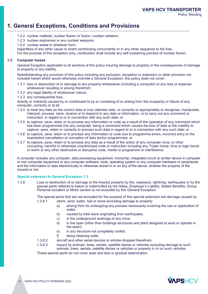## **1. General Exceptions, Conditions and Provisions**

- 1.2.2 nuclear material, nuclear fission or fusion, nuclear radiation;
- 1.2.3 nuclear explosives or any nuclear weapons
- 1.2.4 nuclear waste in whatever form;

regardless of any other cause or event contributing concurrently or in any other sequence to the loss.

For the purpose of this exception only, combustion shall include any self-sustaining process of nuclear fission.

#### **1.3 Computer losses**

General Exception applicable to all sections of this policy insuring damage to property or the consequences of damage to property or any liability

Notwithstanding any provision of this policy including any exclusion, exception or extension or other provision not included herein which would otherwise override a General Exception, this policy does not cover:

- 1.3.1 loss or destruction of or damage to any property whatsoever (including a computer) or any loss or expense whatsoever resulting or arising therefrom;
- 1.3.2 any legal liability of whatsoever nature;
- 1.3.3 any consequential loss;

directly or indirectly caused by or contributed to by or consisting of or arising from the incapacity or failure of any computer, correctly or at all

- 1.3.4 to treat any date as the correct date or true calendar date, or correctly or appropriately to recognise, manipulate, interpret, process, store, receive or to respond to any data or information, or to carry out any command or instruction, in regard to or in connection with any such date; or
- 1.3.5 to capture, save, retain or to process any information or code as a result of the operation of any command which has been programmed into any computer, being a command which causes the loss of data or the inability to capture, save, retain or correctly to process such data in regard to or in connection with any such date; or
- 1.3.6 to capture, save, retain or to process any information or code due to programme errors, incorrect entry or the inadvertent cancellation or corruption of data and/or programmes; or
- 1.3.7 to capture, save, retain or to process any data as a result of the action of any computer virus, or other corrupting, harmful or otherwise unauthorised code or instruction including any Trojan horse, time or logic bomb or worm or any other destructive or disruptive code, media or programme or interference.

A computer includes any computer, data processing equipment, microchip, integrated circuit or similar device in computer or non-computer equipment or any computer software, tools, operating system or any computer hardware or peripherals and the information or data electronically or otherwise stored in or on any of the above, whether the property of the insured or not.

#### **Special extension to General Exception 1.3**

1.3.8 Loss or destruction of or damage to the insured property by fire, explosion, lightning, earthquake or by the special perils referred to below or indemnified by the Glass, Employer's Liability, Stated Benefits, Group Personal Accident or Motor section is not excluded by this General Exception.

> The special perils that are not excluded for the purpose of this special extension are damage caused by: 1.3.8.1 storm, wind, water, hail or snow excluding damage to property

- a) arising from its undergoing any process necessarily involving the use or application of water:
- b) caused by tidal wave originating from earthquake;
- c) in the underground workings of any mine;
- d) in the open (other than buildings structures and plant designed to exist or operate in the open);
- e) in any structure not completely roofed;
- f) being retaining walls;
- 1.3.8.2 aircraft and other aerial devices or articles dropped therefrom;
- 1.3.8.3 impact by animals, trees, aerials, satellite dishes or vehicles excluding damage to such animals, trees, aerials, satellite dishes or vehicles or property in or on such vehicles.

These special perils do not cover wear and tear or gradual deterioration.

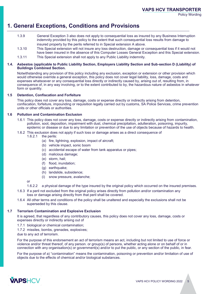## **1. General Exceptions, Conditions and Provisions**

- 1.3.9 General Exception 3 also does not apply to consequential loss as insured by any Business Interruption indemnity provided by this policy to the extent that such consequential loss results from damage to insured property by the perils referred to in Special extension A above.
- 1.3.10 This Special extension will not insure any loss destruction, damage or consequential loss if it would not have been insured in the absence of this Computer Losses General Exception and this Special extension.
- 1.3.11 This Special extension shall not apply to any Public Liability indemnity.

#### **1.4. Asbestos (applicable to Public Liability Section, Employers Liability Section and Sub-section D (Liability) of Buildings Combined Section.**

Notwithstanding any provision of this policy including any exclusion, exception or extension or other provision which would otherwise override a general exception, this policy does not cover legal liability, loss, damage, costs and expenses whatsoever or any consequential loss directly or indirectly caused by, arising out of, resulting from, in consequence of, in any way involving, or to the extent contributed to by, the hazardous nature of asbestos in whatever form or quantity.

#### **1.5 Detention, Confiscation and Forfeiture**

This policy does not cover any loss, damage, costs or expense directly or indirectly arising from detention, confiscation, forfeiture, impounding or requisition legally carried out by customs, SA Police Services, crime prevention units or other officials or authorities.

#### **1.6 Pollution and Contamination Exclusion**

- 1.6.1 This policy does not cover any loss, damage, costs or expense directly or indirectly arising from contamination, pollution, soot, deposition, impairment with dust, chemical precipitation, adulteration, poisoning, impurity, epidemic or disease or due to any limitation or prevention of the use of objects because of hazards to health.
- 1.6.2 This exclusion does not apply if such loss or damage arises as a direct consequence of 1.6.2.1 the perils:
	- the perils:
		- (a) fire, lightning, explosion, impact of aircraft;
		- (b) vehicle impact, sonic boom
		- (c) accidental escape of water from tank apparatus or pipes;
		- (d) malicious damage;
		- (e) storm, hail;
		- (f) flood, inundation;
		- (g) earthquake;
		- (h) landslide, subsidence;
		- (i) snow pressure, avalanche;

or

- 1.6.2.2 a physical damage of the type insured by the original policy which occurred on the insured premises.
- 1.6.3 If a peril not excluded from the original policy arises directly from pollution and/or contamination any loss or damage arising directly from that peril shall be covered.
- 1.6.4 All other terms and conditions of the policy shall be unaltered and especially the exclusions shall not be superseded by this clause.

#### **1.7 Terrorism Contamination and Explosive Exclusion**

It is agreed, that regardless of any contributory causes, this policy does not cover any loss, damage, costs or expenses directly or indirectly arising out of

- 1.7.1 biological or chemical contamination;
- 1.7.2 missiles, bombs, grenades, explosives;

due to any act of terrorism.

For the purpose of this endorsement an act of terrorism means an act, including but not limited to use of force or violence and/or threat thereof, of any person. or group(s) of persons, whether acting alone or on behalf of or in connection with any organisation(s) or government(s) and/or to put the public, or any section of the public, in fear.

For the purpose of a) "contamination" means the contamination, poisoning or prevention and/or limitation of use of objects due to the effects of chemical and/or biological substances.

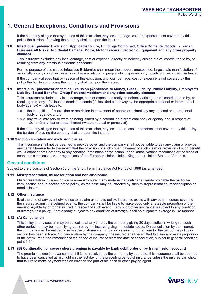## **1. General Exceptions, Conditions and Provisions**

If the company alleges that by reason of this exclusion, any loss, damage, cost or expense is not covered by this policy the burden of proving the contrary shall be upon the insured.

#### **1.8 Infectious Epidemic Exclusion (Applicable to Fire, Buildings Combined, Office Contents, Goods in Transit, Business All Risks, Accidental Damage, Motor, Motor Traders, Electronic Equipment and any other property classes)**

This insurance excludes any loss, damage, cost or expense, directly or indirectly arising out of, contributed to by, or resulting from any infectious epidemic/pandemic.

For the purpose of this clause Infectious Epidemics shall mean the sudden, unexpected, large scale manifestation of an initially locally contained, infectious disease relating to people which spreads very rapidly and with great virulence.

If the company alleges that by reason of this exclusion, any loss, damage, cost or expense is not covered by this policy the burden of proving the contrary shall be upon the insured.

#### **1.9 Infectious Epidemics/Pandemics Exclusion (Applicable to Money, Glass, Fidelity, Public Liability, Employer's Liability, Stated Benefits, Group Personal Accident and any other casualty classes)**

This insurance excludes any loss, damage, cost or expense, directly or indirectly arising out of, contributed to by, or resulting from any infectious epidemic/pandemic (if classified either way by the appropriate national or international body/agency) which leads to:

- 1.9.1 the imposition of quarantine or restriction in movement of people or animals by any national or international body or agency; and/or
- 1.9.2 any travel advisory or warning being issued by a national or international body or agency and in respect of 1.9.1 or 2 any fear or threat thereof (whether actual or perceived).

If the company alleges that by reason of this exclusion, any loss, dame, cost or expense is not covered by this policy the burden of proving the contrary shall be upon the insured.

#### **1.10 Sanction limitation and exclusion clause**

This insurance shall not be deemed to provide cover and the company shall not be liable to pay any claim or provide any benefit hereunder to the extent that the provision of such cover, payment of such claim or provision of such benefit would expose that Company to any sanction, prohibition or restriction under United Nations resolutions or the trade or economic sanctions, laws or regulations of the European Union, United Kingdom or United States of America.

#### **General conditions**

Subject to the provisions of Section 55 of the Short Term Insurance Act No. 53 of 1998 (as amended)

#### **1.11 Misrepresentation, misdescription and non-disclosure**

Misrepresentation, misdescription or non-disclosure in any material particular shall render voidable the particular item, section or sub-section of the policy, as the case may be, affected by such misrepresentation, misdescription or nondisclosure.

#### **1.12 Other insurance**

If, at the time of any event giving rise to a claim under this policy, insurance exists with any other insurers covering the insured against the defined events, the company shall be liable to make good only a rateable proportion of the amount payable by or to the insured in respect of such event. If any such other insurance is subject to any condition of average, this policy, if not already subject to any condition of average, shall be subject to average in like manner.

#### **1.13 (A) Cancellation**

This policy or any section may be cancelled at any time by the company giving 30 days' notice in writing (or such other period as may be mutually agreed) or by the insured giving immediate notice. On cancellation by the insured, the company shall be entitled to retain the customary short period or minimum premium for the period the policy or section has been in force. On cancellation by the company, the insured shall be entitled to claim a pro-rata proportion of the premium for the remainder of the period of insurance from the date of cancellation, subject to general condition point 1.14.

#### **1.13 (B) Continuation or cover (where premium is payable by bank debit order or by transmission account)**

The premium is due in advance and, if it is not received by the company by due date, this insurance shall be deemed to have been cancelled at midnight on the last day of the preceding period of insurance unless the insured can show that failure to make payment was an error on the part of his bank or other paying agent.

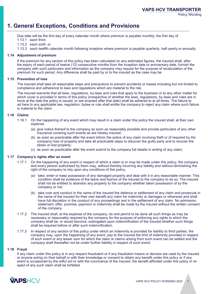## **1. General Exceptions, Conditions and Provisions**

Due date will be the first day of every calendar month where premium is payable monthly, the first day of 1.13.1 each third;

- 
- 1.13.2 each sixth; or

1.13.3 each twelfth calendar month following inception where premium is payable quarterly, half-yearly or annually.

#### **1.14 Adjustment of premium**

If the premium for any section of this policy has been calculated on any estimated figures, the insured shall, after the expiry of each period of twelve (12) consecutive months from the inception date or anniversary date, furnish the company with such particulars and information as the company may require for the purpose of recalculation of the premium for such period. Any difference shall be paid by or to the insured as the case may be.

#### **1.15 Prevention of loss**

The insured shall take all reasonable steps and precautions to prevent accidents or losses including but not limited to compliance and adherence to laws and regulations which are material to the risk.

The insured warrants that all laws, regulations, by-laws and rules that apply to the business or to any other matter for which cover is provided in terms of this policy (irrespective of whether the laws, regulations, by-laws and rules are in force at the date the policy is issued, or are enacted after that date) shall be adhered to at all times. The failure to ad here to any applicable law, regulation, bylaw or rule shall entitle the company to reject any claim where such failure is material to the claim.

#### **1.16 Claims**

- 1.16.1 On the happening of any event which may result in a claim under this policy the insured shall, at their own expense
	- (a) give notice thereof to the company as soon as reasonably possible and provide particulars of any other insurance covering such events as are hereby insured;
	- (b) as soon as practicable after the event inform the police of any claim involving theft or (if required by the company) loss of property and take all practicable steps to discover the guilty party and to recover the stolen or lost property;
	- (c) as soon as practicable after the event submit to the company full details in writing of any claim;

#### **1.17 Company's rights after an event**

- 1.17.1 On the happening of any event in respect of which a claim is or may be made under this policy, the company and every person authorised by them may, without thereby incurring any liability and without diminishing the right of the company to rely upon any conditions of this policy,
	- (a) take, enter or keep possession of any damaged property and deal with it in any reasonable manner. This condition shall be evidence of the leave and licence of the insured to the company to do so. The insured shall not be entitled to abandon any property to the company whether taken possession of by the company or not;
	- (b) take over and conduct in the name of the insured the defence or settlement of any claim and prosecute in the name of the insured for their own benefit any claim for indemnity or damages or otherwise and shall have full discretion in the conduct of any proceedings and in the settlement of any claim. No admission, statement, offer, promise, payment or indemnity shall be made by the insured without the written consent of the company.
- 1.17.2 The insured shall, at the expense of the company, do and permit to be done all such things as may be necessary or reasonably required by the company for the purpose of enforcing any rights to which the company shall be, or would become, subrogated upon indemnification of the insured whether such things shall be required before or after such indemnification.
- 1.17.3 In respect of any section of this policy under which an indemnity is provided for liability to third parties, the company may, upon the happening of any event, pay to the insured the limit of indemnity provided in respect of such event or any lesser sum for which the claim or claims arising from such event can be settled and the company shall thereafter not be under further liability in respect of such event.

#### **1.18 Fraud**

If any claim under this policy is in any respect fraudulent or if any fraudulent means or devices are used by the insured or anyone acting on their behalf or with their knowledge or consent to obtain any benefit under this policy or if any event is occasioned by the wilful act or with the connivance of the insured, the benefit afforded under this policy in respect of any such claim shall be forfeited.

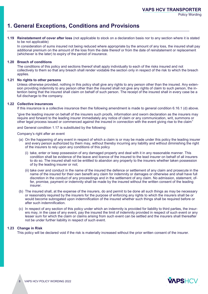## **1. General Exceptions, Conditions and Provisions**

#### **1.19 Reinstatement of cover after loss** (not applicable to stock on a declaration basis nor to any section where it is stated to be not applicable)

In consideration of sums insured not being reduced where appropriate by the amount of any loss, the insured shall pay additional premium on the amount of the loss from the date thereof or from the date of reinstatement or replacement (whichever is the later) to expiry of the period of insurance.

#### **1.20 Breach of conditions**

The conditions of this policy and sections thereof shall apply individually to each of the risks insured and not collectively to them so that any breach shall render voidable the section only in respect of the risk to which the breach applies.

#### **1.21 No rights to other persons**

Unless otherwise provided, nothing in this policy shall give any rights to any person other than the insured. Any extension providing indemnity to any person other than the insured shall not give any rights of claim to such person, the intention being that the insured shall claim on behalf of such person. The receipt of the insured shall in every case be a full discharge to the company.

#### **1.22 Collective insurances**

If this insurance is a collective insurance then the following amendment is made to general condition 6.16.1 (d) above.

"give the leading insurer on behalf of the insurers such proofs, information and sworn declaration as the insurers may require and forward to the leading insurer immediately any notice of claim or any communication, writ, summons or other legal process issued or commenced against the insured in connection with the event giving rise to the claim"

and General condition 1.17 is substituted by the following:

Company's right after an event

- (a) On the happening of any event in respect of which a claim is or may be made under this policy the leading insurer and every person authorized by them may, without thereby incurring any liability and without diminishing the right of the insurers to rely upon any conditions of this policy
	- (i) take, enter or keep possession of any damaged property and deal with it in any reasonable manner. This condition shall be evidence of the leave and licence of the insured to the lead insurer on behalf of all insurers to do so. The insured shall not be entitled to abandon any property to the insurers whether taken possession of by the leading insurer or not;
	- (ii) take over and conduct in the name of the insured the defence or settlement of any claim and prosecute in the name of the insured for their own benefit any claim for indemnity or damages or otherwise and shall have full discretion in the conduct of any proceedings and in the settlement of any claim. No admission, statement, offer, promise, payment or indemnity shall be made by the insured without the written consent of the leading insurer.
- (b) The insured shall, at the expense of the insurers, do and permit to be done all such things as may be necessary or reasonably required by the insurers for the purpose of enforcing any rights to which the insurers shall be or would become subrogated upon indemnification of the insured whether such things shall be required before or after such indemnification.
- (c) In respect of any section of this policy under which an indemnity is provided for liability to third parties, the insurers may, in the case of any event, pay the insured the limit of indemnity provided in respect of such event or any lesser sum for which the claim or claims arising from such event can be settled and the insurers shall thereafter not be under further liability in respect of such event.

#### **1.23 Change in Risk**

This policy will be declared void if the risk is materially increased without the prior written consent of the insurer.

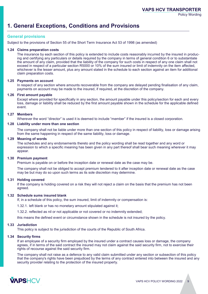## **1. General Exceptions, Conditions and Provisions**

#### **General provisions**

Subject to the provisions of Section 55 of the Short Term Insurance Act 53 of 1998 (as amended)

#### **1.24 Claims preparation costs**

The insurance by each section of this policy is extended to include costs reasonably incurred by the insured in producing and certifying any particulars or details required by the company in terms of general condition 6 or to substantiate the amount of any claim, provided that the liability of the company for such costs in respect of any one claim shall not exceed in respect of a particular section R5000 or 10% of the sum insured or limit of indemnity on the item affected, whichever is the lesser amount, plus any amount stated in the schedule to each section against an item for additional claim preparation costs.

#### **1.25 Payments on account**

In respect of any section where amounts recoverable from the company are delayed pending finalisation of any claim, payments on account may be made to the insured, if required, at the discretion of the company.

#### **1.26 First amount payable**

Except where provided for specifically in any section, the amount payable under this policy/section for each and every loss, damage or liability shall be reduced by the first amount payable shown in the schedule for the applicable defined event.

#### **1.27 Members**

Wherever the word "director" is used it is deemed to include "member" if the insured is a closed corporation.

#### **1.28 Liability under more than one section**

The company shall not be liable under more than one section of this policy in respect of liability, loss or damage arising from the same happening in respect of the same liability, loss or damage.

#### **1.29 Meaning of words**

The schedules and any endorsements thereto and the policy wording shall be read together and any word or expression to which a specific meaning has been given in any part thereof shall bear such meaning wherever it may appear.

#### **1.30 Premium payment**

Premium is payable on or before the inception date or renewal date as the case may be.

The company shall not be obliged to accept premium tendered to it after inception date or renewal date as the case may be but may do so upon such terms as its sole discretion may determine.

#### **1.31 Holding covered**

If the company is holding covered on a risk they will not reject a claim on the basis that the premium has not been agreed.

#### **1.32 Schedule sums insured blank**

If, in a schedule of this policy, the sum insured, limit of indemnity or compensation is:

1.32.1. left blank or has no monetary amount stipulated against it;

1.32.2. reflected as nil or not applicable or not covered or no indemnity extended;

this means the defined event or circumstance shown in the schedule is not insured by the policy.

#### **1.33 Jurisdiction**

This policy is subject to the jurisdiction of the courts of the Republic of South Africa.

#### **1.34 Security firms**

If an employee of a security firm employed by the insured under a contract causes loss or damage, the company agrees, if in terms of the said contract the insured may not claim against the said security firm, not to exercise their rights of recourse against the said security firm.

The company shall not raise as a defence to any valid claim submitted under any section or subsection of this policy that the company's rights have been prejudiced by the terms of any contract entered into between the insured and any security provider relating to the protection of the insured property.

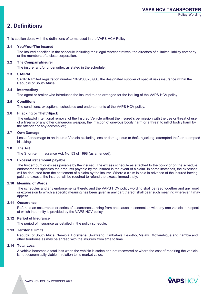## **2. Definitions**

This section deals with the definitions of terms used in the VAPS HCV Policy.

#### **2.1 You/Your/The Insured**

The Insured specified in the schedule including their legal representatives, the directors of a limited liability company or the members of a close corporation.

#### **2.2 The Company/Insurer**

The insurer and/or underwriter, as stated in the schedule.

#### **2.3 SASRIA**

SASRIA limited registration number 1979/000287/06, the designated supplier of special risks insurance within the Republic of South Africa.

#### **2.4 Intermediary**

The agent or broker who introduced the insured to and arranged for the issuing of the VAPS HCV policy.

#### **2.5 Conditions**

The conditions, exceptions, schedules and endorsements of the VAPS HCV policy.

#### **2.6 Hijacking or Theft/Hijack**

The unlawful intentional removal of the Insured Vehicle without the insured's permission with the use or threat of use of a firearm or any other dangerous weapon, the infliction of grievous bodily harm or a threat to inflict bodily harm by the offender or any accomplice;

#### **2.7 Own Damage**

Loss of or damage to an Insured Vehicle excluding loss or damage due to theft, hijacking, attempted theft or attempted hijacking;

#### **2.8 The Act**

The Short-term Insurance Act, No. 53 of 1998 (as amended);

#### **2.9 Excess/First amount payable**

The first amount or excess payable by the insured. The excess schedule as attached to the policy or on the schedule endorsements specifies the amounts payable by the insured in the event of a claim. In some instances, the excesses will be deducted from the settlement of a claim by the insurer. Where a claim is paid in advance of the insured having paid the excess, the insured will be required to refund the excess immediately.

#### **2.10 Meaning of Words**

The schedules and any endorsements thereto and the VAPS HCV policy wording shall be read together and any word or expression to which a specific meaning has been given in any part thereof shall bear such meaning wherever it may appear.

#### **2.11 Occurrence**

Refers to an occurrence or series of occurrences arising from one cause in connection with any one vehicle in respect of which indemnity is provided by the VAPS HCV policy.

#### **2.12 Period of Insurance**

The period of insurance as detailed in the policy schedule.

#### **2.13 Territorial limits**

Republic of South Africa, Namibia, Botswana, Swaziland, Zimbabwe, Lesotho, Malawi, Mozambique and Zambia and other territories as may be agreed with the insurers from time to time.

#### **2.14 Total Loss**

A vehicle becomes a total loss when the vehicle is stolen and not recovered or where the cost of repairing the vehicle is not economically viable in relation to its market value.

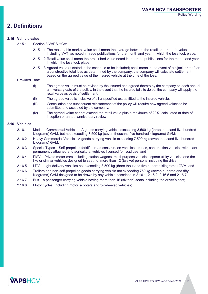## **2. Definitions**

#### **2.15 Vehicle value**

2.15.1 Section 3 VAPS HCV:

- 2.15.1.1 The reasonable market value shall mean the average between the retail and trade-in values, including VAT, as noted in trade publications for the month and year in which the loss took place.
- 2.15.1.2 Retail value shall mean the prescribed value noted in the trade publications for the month and year in which the loss took place.
- 2.15.1.3 Agreed value (if stated in the schedule to be included) shall mean in the event of a hijack or theft or a constructive total loss as determined by the company, the company will calculate settlement based on the agreed value of the insured vehicle at the time of the loss.

#### Provided That:

- (i) The agreed value must be revised by the insured and agreed thereto by the company on each annual anniversary date of the policy. In the event that the insured fails to do so, the company will apply the retail value as basis of settlement.
- (ii) The agreed value is inclusive of all unspecified extras fitted to the insured vehicle.
- (iii) Cancellation and subsequent reinstatement of the policy will require new agreed values to be submitted and accepted by the company.
- (iv) The agreed value cannot exceed the retail value plus a maximum of 20%, calculated at date of inception or annual anniversary review.

#### **2.16 Vehicles**

- 2.16.1 Medium Commercial Vehicle A goods carrying vehicle exceeding 3,500 kg (three thousand five hundred kilograms) GVM, but not exceeding 7,500 kg (seven thousand five hundred kilograms) GVM;
- 2.16.2 Heavy Commercial Vehicle A goods carrying vehicle exceeding 7,500 kg (seven thousand five hundred kilograms) GVM;
- 2.16.3 Special Types Self-propelled forklifts, road construction vehicles, cranes, construction vehicles with plant permanently attached and agricultural vehicles licensed for road use; and
- 2.16.4 PMV Private motor cars including station wagons, multi-purpose vehicles, sports utility vehicles and the like or similar vehicles designed to seat not more than 12 (twelve) persons including the driver;
- 2.16.5 LDV Light delivery vehicles not exceeding 3,500 kg (three thousand five hundred kilograms) GVM; and
- 2.16.6 Trailers and non-self-propelled goods carrying vehicle not exceeding 750 kg (seven hundred and fifty kilograms) GVM designed to be drawn by any vehicle described in  $\tilde{2.16.1}$ ,  $\tilde{2.16.2}$ , 2.16.5 and 2.16.7;
- 2.16.7 Bus a passenger carrying vehicle having more than 16 (sixteen) seats including the driver's seat;
- 2.16.8 Motor cycles (including motor scooters and 3- wheeled vehicles)

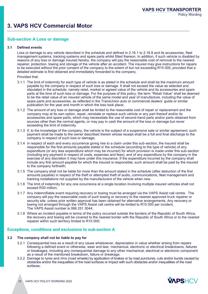## **3. VAPS HCV Commercial Motor**

#### **Sub-section A Loss or damage**

#### **3.1 Defined events**

Loss or damage to any vehicle described in the schedule and defined in 2.16.1 to 2.16.8 and its accessories, fleet management systems, tracking systems and spare parts whilst fitted thereon. In addition, if such vehicle is disabled by reasons of any loss or damage insured hereby, the company will pay the reasonable cost of removal to the nearest repairer, protection, towing and storage of the vehicle after an accident. The insured may give instructions for repairs to be executed without the prior consent of the company to the extent of but not exceeding R15 000, provided that a detailed estimate is first obtained and immediately forwarded to the company.

Provided that:

- 3.1.1 The limit of indemnity for each type of vehicle is as stated in the schedule and shall be the maximum amount payable by the company in respect of such loss or damage. It shall not exceed the value as selected and stipulated in the schedule, namely retail, market or agreed value of the vehicle and its accessories and spare parts at the time of such loss or damage. For the purpose of this policy, the term "Retail Value" shall be deemed to be the retail value of an insured vehicle of the same model and year of manufacture, including the value of spare parts and accessories, as reflected in the TransUnion auto or commercial dealers' guide or similar publication for the year and month in which the loss took place;
- 3.1.2 The amount of any loss or damage shall be limited to the reasonable cost of repair or replacement and the company may at its own option, repair, reinstate or replace such vehicle or any part thereof and/or its accessories and spare parts, which may necessitate the use of second-hand parts and/or parts obtained from sources other than the normal agents, or may pay in cash the amount of the loss or damage but never exceeding the limit of indemnity.
- 3.1.3 if, to the knowledge of the company, the vehicle is the subject of a suspensive sale or similar agreement, such payment shall be made to the owner described therein whose receipt shall be a full and final discharge to the company in respect of such loss or damage;
- 3.1.4 in respect of each and every occurrence giving rise to a claim under this sub-section, the insured shall be responsible for the first amounts payable stated in the schedule (according to the type of vehicle) of any expenditure (or any less expenditure which may be incurred) for which provision is made under this sub-section (including any payment in respect of costs, expenses and fees), and of any expenditure by the company in the exercise of any discretion it may have under this insurance. If the expenditure incurred by the company shall include any first amount payable for which the insured is responsible, such amount shall be paid by the insured to the company forthwith;
- 3.1.5 The company shall not be liable for more than the amount stated in the schedule (after deduction of the first amounts payable) in respect of the theft or attempted theft of audio, communications, fleet management and tracking installations not supplied by the manufacturers of the vehicle when new.
- 3.1.6 The limit of indemnity for any one occurrence at a single location involving multiple insured vehicles shall not exceed R30 million;
- 3.1.7 Any indemnifiable event requiring recovery or towing must be arranged via the VAPS Assist call centre. The company will pay the reasonable costs of such towing or recovery to the nearest approved truck repairer or security site, unless prior written approval has been obtained for alternative arrangements. Any recovery or towing not arranged through the VAPS Assist call centre will be limited to R15 000 per incident. The VAPS Assist number is 066 251 3044;
- 3.1.8 Where an incident payable in terms of the policy occurred outside the borders of the Republic of South Africa, the recovery and towing will be covered to the nearest border with the Republic of South Africa or to the nearest repairer within such territory limited to R15 000;

#### **Exceptions, conditions and exclusions to sub-section A**

#### **3.2 The company shall not be liable to pay for**

- 3.2.1 Consequential loss as a result of any cause whatsoever, depreciation in value whether arising from repairs following a defined event or otherwise, wear and tear, mechanical, electronic or electrical breakdowns, failures or breakages, including any consequential damage to any other mechanical, electrical or electronic component as a result of the mentioned breakdown, failure or breakage;
- 3.2.2 Damage to tyres and rims (road wheels) by application of brakes or by road punctures, cuts and/or bursts caused by obstacles and/or the inequalities of the road surfaces or impact with such obstacles and/or inequalities of the road surfaces;

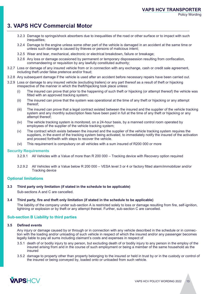## **3. VAPS HCV Commercial Motor**

- 3.2.3 Damage to springs/shock absorbers due to inequalities of the road or other surface or to impact with such inequalities;
- 3.2.4 Damage to the engine unless some other part of the vehicle is damaged in an accident at the same time or unless such damage is caused by thieves or persons of malicious intent;
- 3.2.5 Wear and tear, mechanical, electronic or electrical breakdown, failure or breakage;
- 3.2.6 Any loss or damage occasioned by permanent or temporary dispossession resulting from confiscation, commandeering or requisition by any lawfully constituted authority;
- 3.2.7 Loss or damage of any insured vehicle from or in connection with any exchange, cash or credit sale agreement, including theft under false pretence and/or fraud;
- 3.2.8 Any subsequent damage if the vehicle is used after an accident before necessary repairs have been carried out.
- 3.2.9 Loss or damage to any insured vehicle (excluding trailers) or any part thereof as a result of theft or hijacking irrespective of the manner in which the theft/hijacking took place unless:
	- (i) The insured can prove that prior to the happening of such theft or hijacking (or attempt thereof) the vehicle was fitted with an approved tracking system;
	- (ii) The insured can prove that the system was operational at the time of any theft or hijacking or any attempt thereof;
	- (iii) The insured can prove that a legal contract existed between the insured and the supplier of the vehicle tracking system and any monthly subscription fees have been paid in full at the time of any theft or hijacking or any attempt thereof;
	- (iv) The vehicle tracking system is monitored, on a 24-hour basis, by a manned control room operated by employees of the supplier of the vehicle tracking system;
	- (v) The contract which exists between the insured and the supplier of the vehicle tracking system requires the suppliers, in the event of the tracking system being activated, to immediately notify the insured of the activation and proceed forthwith with steps to recover the vehicle.
	- (vi) This requirement is compulsory on all vehicles with a sum insured of R200 000 or more

#### **Security Requirements**

- 3.2.9.1 All Vehicles with a Value of more than R 200 000 Tracking device with Recovery option required
- 3.2.9.2 All Vehicles with a Value below R 200 000 VESA level 3 or 4 or factory fitted alarm/immobilizer and/or Tracking device

#### **Optional limitations**

#### **3.3 Third party only limitation (if stated in the schedule to be applicable)**

Sub-sections A and C are cancelled.

#### **3.4 Third party, fire and theft only limitation (if stated in the schedule to be applicable)**

The liability of the company under sub-section A is restricted solely to loss or damage resulting from fire, self-ignition, lightning or explosion or by theft or any attempt thereat. Further, sub-section C are cancelled.

#### **Sub-section B Liability to third parties**

#### **3.5 Defined events**

Any injury or damage caused by or through or in connection with any vehicle described in the schedule or in connection with the loading and/or unloading of such vehicle in respect of which the insured and/or any passenger becomes legally liable to pay all sums including claimant's costs and expenses in respect of

- 3.5.1 death of or bodily injury to any person, but excluding death of or bodily injury to any person in the employ of the insured arising from and in the course of such employment or being a member of the same household as the insured
- 3.5.2 damage to property other than property belonging to the insured or held in trust by or in the custody or control of the insured or being conveyed by, loaded onto or unloaded from such vehicle.

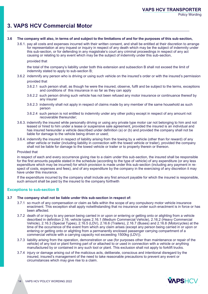## **3. VAPS HCV Commercial Motor**

#### **3.6 The company will also, in terms of and subject to the limitations of and for the purposes of this sub-section,**

3.6.1. pay all costs and expenses incurred with their written consent, and shall be entitled at their discretion to arrange for representation at any inquest or inquiry in respect of any death which may be the subject of indemnity under this sub-section, or for defending in any magistrate's court any criminal proceedings in respect of any act causing or relating to any event which may be the subject of indemnity under this sub-section,

#### provided that

the total of the company's liability under both this extension and subsection B shall not exceed the limit of indemnity stated to apply to sub-section B;

- 3.6.2 indemnify any person who is driving or using such vehicle on the insured's order or with the insured's permission provided that
	- 3.6.2.1 such person shall, as though he were the insured, observe, fulfil and be subject to the terms, exceptions and conditions of this insurance in so far as they can apply
	- 3.6.2.2 such person driving such vehicle has not been refused any motor insurance or continuance thereof by any insurer
	- 3.6.2.3 indemnity shall not apply in respect of claims made by any member of the same household as such person
	- 3.6.2.4 such person is not entitled to indemnity under any other policy except in respect of any amount not recoverable thereunder;
- 3.6.3. indemnify the insured while personally driving or using any private type motor car not belonging to him and not leased or hired to him under a lease or suspensive sale agreement, provided the insured is an individual and has insured hereunder a vehicle described under definition (a) or (b) and provided the company shall not be liable for damage to the vehicle being driven or used;
- 3.6.4. indemnify the insured in respect of liability arising from the towing by a vehicle (other than for reward) of any other vehicle or trailer (including liability in connection with the towed vehicle or trailer), provided the company shall not be liable for damage to the towed vehicle or trailer or to property therein or thereon.

#### Provided that

in respect of each and every occurrence giving rise to a claim under this sub-section, the insured shall be responsible for the first amounts payable stated in the schedule (according to the type of vehicle) of any expenditure (or any less expenditure which may be incurred) for which provision is made under this sub-section (including any payment in respect of costs, expenses and fees), and of any expenditure by the company in the exercising of any discretion it may have under this insurance.

If the expenditure incurred by the company shall include any first amount payable for which the insured is responsible, such amount shall be paid by the insured to the company forthwith

#### **Exceptions to sub-section B**

#### **3.7 The company shall not be liable under this sub-section in respect of:**

- 3.7.1 so much of any compensation or claim as falls within the scope of any compulsory motor vehicle insurance enactment. This exception shall apply notwithstanding that no insurance under such enactment is in force or has been affected.
- 3.7.2 death of or injury to any person being carried in or upon or entering or getting onto or alighting from a vehicle described in definition 2.16, vehicle types 2.16.1 (Medium Commercial Vehicle), 2.16.2 (Heavy Commercial Vehicle), 2.16.3 (Special Types), 2.16.5 (LDV), 2.16.6 (Trailers), 2.16.7 (Buses) and 2.16.8 (Motorcycles) at the time of the occurrence of the event from which any claim arises (except any person being carried in or upon or entering or getting onto or alighting from a permanently enclosed passenger carrying compartment of a commercial vehicle with a carrying capacity not exceeding 1500kg (LDV)).
- 3.7.3 liability arising from the operation, demonstration or use (for purposes other than maintenance or repair of the vehicle) of any tool or plant forming part of or attached to or used in connection with a vehicle or anything manufactured by or contained in any such tool or plant. This exclusion shall not apply to forklift trucks.
- 3.7.4 injury or damage arising out of the malicious acts, deliberate, conscious and intentional disregard by the insured, insured's management of the need to take reasonable precautions to prevent any event or circumstances which may give rise to a claim.

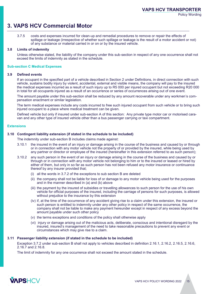## **3. VAPS HCV Commercial Motor**

3.7.5 costs and expenses incurred for clean-up and remedial procedures to remove or repair the effects of spillage or leakage (irrespective of whether such spillage or leakage is the result of a motor accident or not) of any substance or material carried in or on or by the insured vehicle.

#### **3.8 Limits of indemnity**

Unless otherwise stated, the liability of the company under this sub-section in respect of any one occurrence shall not exceed the limits of indemnity as stated in the schedule.

#### **Sub-section C Medical Expenses**

#### **3.9 Defined events**

If an occupant in the specified part of a vehicle described in Section 2 under Definitions, in direct connection with such vehicle, sustains bodily injury by violent, accidental, external and visible means, the company will pay to the insured the medical expenses incurred as a result of such injury up to R5 000 per injured occupant but not exceeding R20 000 in total for all occupants injured as a result of an occurrence or series of occurrences arising out of one event.

The amount payable under this sub-section shall be reduced by any amount recoverable under any workmen's compensation enactment or similar legislation.

The term medical expenses include any costs incurred to free such injured occupant from such vehicle or to bring such injured occupant to a place where medical treatment can be given.

Defined vehicle but only if insured under sub-section A of this section: Any private type motor car or motorised caravan and any other type of insured vehicle other than a bus passenger carrying or taxi compartment.

#### **Extensions**

#### **3.10 Contingent liability extension (if stated in the schedule to be included)**

The indemnity under sub-section B includes claims made against:

- 3.10.1 the insured in the event of an injury or damage arising in the course of the business and caused by or through or in connection with any motor vehicle not the property of or provided by the insured, while being used by any partner or director or employee of the insured (hereinafter in this extension referred to as such person);
- 3.10.2 any such person in the event of an injury or damage arising in the course of the business and caused by or through or in connection with any motor vehicle not belonging to him or to the insured or leased or hired by either of them, but only in so far as such person has not been refused any motor insurance or continuance thereof by any insurer provided that;
	- (i) all the words in 3.7.2 of the exceptions to sub section B are deleted
	- (ii) the company shall not be liable for loss of or damage to any motor vehicle being used for the purposes and in the manner described in (a) and (b) above
	- (iii) the payment by the insured of subsidies or travelling allowances to such person for the use of his own vehicle for official purposes of the insured, including the carriage of persons for such purposes, is allowed without prejudice to the insurance by this extension
	- (iv) if, at the time of the occurrence of any accident giving rise to a claim under this extension, the insured or such person is entitled to indemnity under any other policy in respect of the same occurrence, the company shall not be liable to make any payment hereunder except in respect of any excess beyond the amount payable under such other policy
	- (v) the terms exceptions and conditions of the policy shall otherwise apply
	- (vi) injury or damage arising out of the malicious acts, deliberate, conscious and intentional disregard by the insured, insured's management of the need to take reasonable precautions to prevent any event or circumstances which may give rise to a claim.

#### **3.11 Passenger liability extension (if stated in the schedule to be included)**

Exception 3.7.2 under sub-section B shall not apply to vehicles described in definition 2.16.1, 2.16.2, 2.16.5, 2.16.6, 2.16.7 and 2.16.8.

The limit of indemnity for any one occurrence shall not exceed the amount stated in the schedule.

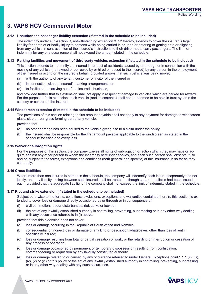## **3. VAPS HCV Commercial Motor**

#### **3.12 Unauthorised passenger liability extension (if stated in the schedule to be included)**

The indemnity under sub-section B, notwithstanding exception 3.7.2 thereto, extends to cover the insured's legal liability for death of or bodily injury to persons while being carried in or upon or entering or getting onto or alighting from any vehicle in contravention of the insured's instructions to their driver not to carry passengers. The limit of indemnity for any one occurrence shall not exceed the amount stated in the schedule.

#### **3.13 Parking facilities and movement of third-party vehicles extension (if stated in the schedule to be included)**

This section extends to indemnify the insured in respect of accidents caused by or through or in connection with the moving of any vehicle (not owned or borrowed by or hired or leased to the insured) by any person in the employment of the insured or acting on the insured's behalf, provided always that such vehicle was being moved

- (a) with the authority of any tenant, customer or visitor of the insured or
- (b) in connection with the insured's parking arrangements or
- (c) to facilitate the carrying out of the insured's business,

and provided further that this extension shall not apply in respect of damage to vehicles which are parked for reward. For the purpose of this extension, such vehicle (and its contents) shall not be deemed to be held in trust by, or in the custody or control of, the insured.

#### **3.14 Windscreen extension (if stated in the schedule to be included)**

The provisions of this section relating to first amount payable shall not apply to any payment for damage to windscreen glass, side or rear glass forming part of any vehicle.

provided that

- (a) no other damage has been caused to the vehicle giving rise to a claim under the policy
- (b) the insured shall be responsible for the first amount payable applicable to the windscreen as stated in the schedule for each and every loss.

#### **3.15 Waiver of subrogation rights**

For the purposes of this section, the company waives all rights of subrogation or action which they may have or acquire against any other person to whom the indemnity hereunder applies, and each such person shall observe, fulfil and be subject to the terms, exceptions and conditions (both general and specific) of this insurance in so far as they can apply.

#### **3.16 Cross liabilities**

Where more than one insured is named in the schedule, the company will indemnify each insured separately and not jointly, and any liability arising between such insured shall be treated as though separate policies had been issued to each, provided that the aggregate liability of the company shall not exceed the limit of indemnity stated in the schedule.

#### **3.17 Riot and strike extension (if stated in the schedule to be included)**

Subject otherwise to the terms, conditions, exclusions, exceptions and warranties contained therein, this section is extended to cover loss or damage directly occasioned by or through or in consequence of:

- (i) civil commotion, labour disturbances, riot, strike or lockout;
- (ii) the act of any lawfully established authority in controlling, preventing, suppressing or in any other way dealing with any occurrence referred to in (i) above;

provided that this extension does not cover:

- (a) loss or damage occurring in the Republic of South Africa and Namibia;
- (b) consequential or indirect loss or damage of any kind or description whatsoever, other than loss of rent if specifically insured;
- (c) loss or damage resulting from total or partial cessation of work, or the retarding or interruption or cessation of any process or operation;
- (d) loss or damage occasioned by permanent or temporary dispossession resulting from confiscation, commandeering or requisition by any lawfully constituted authority;
- (e) loss or damage related to or caused by any occurrence referred to under General Exceptions point 1.1.1 (ii), (iii), (iv), (v) or (vi) of this policy or the act of any lawfully established authority in controlling, preventing, suppressing or in any other way dealing with any such occurrence.

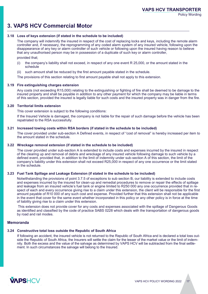## **3. VAPS HCV Commercial Motor**

#### **3.18 Loss of keys extension (if stated in the schedule to be included)**

The company will indemnify the insured in respect of the cost of replacing locks and keys, including the remote alarm controller and, if necessary, the reprogramming of any coded alarm system of any insured vehicle, following upon the disappearance of any key or alarm controller of such vehicle or following upon the insured having reason to believe that any unauthorised person may be in possession of a duplicate of such key or alarm controller,

provided that;

- (i) the company's liability shall not exceed, in respect of any one event R 25,000, or the amount stated in the schedule
- (ii) such amount shall be reduced by the first amount payable stated in the schedule.

The provisions of this section relating to first amount payable shall not apply to this extension.

#### **3.19 Fire extinguishing charges extension**

Any costs (not exceeding R15,000) relating to the extinguishing or fighting of fire shall be deemed to be damage to the insured property and shall be payable in addition to any other payment for which the company may be liable in terms of this section, provided the insured is legally liable for such costs and the insured property was in danger from the fire.

#### **3.20 Territorial limits extension**

This cover extension is subject to the following conditions:

If the Insured Vehicle is damaged, the company is not liable for the repair of such damage before the vehicle has been repatriated to the RSA successfully.

#### **3.21 Increased towing costs within RSA borders (if stated in the schedule to be included)**

The cover provided under sub-section A Defined events, in respect of "cost of removal" is hereby increased per item to the amount stated in the schedule.

#### **3.22 Wreckage removal extension (if stated in the schedule to be included)**

The cover provided under sub-section A is extended to include costs and expenses incurred by the insured in respect of the clearing up and removal of debris and wreckage of any insured vehicle following damage to such vehicle by a defined event, provided that, in addition to the limit of indemnity under sub-section A of this section, the limit of the company's liability under this extension shall not exceed R25,000 in respect of any one occurrence or the limit stated in the schedule.

#### **3.23 Fuel Tank Spillage and Leakage Extension (if stated in the schedule to be included)**

Notwithstanding the provisions of point 3.7.5 of exceptions to sub section B, our liability is extended to include costs and expenses incurred by the insured for clean-up and remedial procedures to remove or repair the effects of spillage and leakage from an insured vehicle's fuel tank or engine limited to R250 000 any one occurrence provided that in respect of each and every occurrence giving rise to a claim under this extension, the client will be responsible for the first amount payable of R10 000 of any such cost and expense. Provided further that this extension shall not be applicable in the event that cover for the same event whether incorporated in this policy or any other policy is in force at the time of liability giving rise to a claim under this extension.

This extension does not provide cover for any costs and expenses associated with the spillage of Dangerous Goods as identified and classified by the code of practice SABS 0228 which deals with the transportation of dangerous goods by road and rail modes.

#### **Memoranda**

#### **3.24 Constructive total loss outside the Republic of South Africa**

If following an accident, the insured vehicle is not returned to the Republic of South Africa and is declared a total loss outside the Republic of South Africa, the Insurers will settle the claim for the lesser of the market value or the limit of indemnity. Both the excess and the value of the salvage as determined by VAPS HCV will be subtracted from the final settlement. In such circumstances the salvage will belong to the Insured.

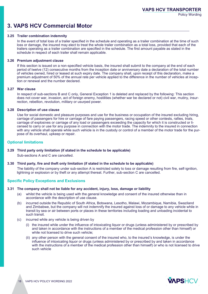## **3. VAPS HCV Commercial Motor**

#### **3.25 Trailer combination indemnity**

In the event of total loss of a trailer specified in the schedule and operating as a trailer combination at the time of such loss or damage, the insured may elect to treat the whole trailer combination as a total loss, provided that each of the trailers operating as a trailer combination are specified in the schedule. The first amount payable as stated in the schedule in respect of each trailer shall remain applicable.

#### **3.26 Premium adjustment clause**

If this section is issued on a non-specified vehicle basis, the insured shall submit to the company at the end of each period of twelve (12) consecutive months from the inception date or anniversary date a declaration of the total number of vehicles owned, hired or leased at such expiry date. The company shall, upon receipt of this declaration, make a premium adjustment of 50% of the annual rate per vehicle applied to the difference in the number of vehicles at inception or renewal and the number declared.

#### **3.27 War clause**

In respect of sub-sections B and C only, General Exception 1 is deleted and replaced by the following: This section does not cover war, invasion, act of foreign enemy, hostilities (whether war be declared or not) civil war, mutiny, insurrection, rebellion, revolution, military or usurped power.

#### **3.28 Description of use clause**

Use for social domestic and pleasure purposes and use for the business or occupation of the insured excluding hiring, carriage of passengers for hire or carriage of fare paying passengers, racing speed or other contests, rallies, trials, carriage of explosives or carriage of any load or passengers exceeding the capacity for which it is constructed or licensed to carry or use for any purpose in connection with the motor trade. The indemnity to the insured in connection with any vehicle shall operate while such vehicle is in the custody or control of a member of the motor trade for the purpose of its overhaul, upkeep or repair.

#### **Optional limitations**

#### **3.29 Third party only limitation (if stated in the schedule to be applicable)**

Sub-sections A and C are cancelled.

#### **3.30 Third party, fire and theft only limitation (if stated in the schedule to be applicable)**

The liability of the company under sub-section A is restricted solely to loss or damage resulting from fire, self-ignition, lightning or explosion or by theft or any attempt thereat. Further, sub-section C are cancelled.

### **Specific Policy Exceptions and Exclusions**

#### **3.31 The company shall not be liable for any accident, injury, loss, damage or liability**

- (a) whilst the vehicle is being used with the general knowledge and consent of the insured otherwise than in accordance with the description of use clause.
- (b) incurred outside the Republic of South Africa, Botswana, Lesotho, Malawi, Mozambique, Namibia, Swaziland and Zimbabwe, but the company will not indemnify the insured against loss of or damage to any vehicle while in transit by sea or air between ports or places in these territories including loading and unloading incidental to such transit.
- (c) incurred while any vehicle is being driven by
	- (i) the insured while under the influence of intoxicating liquor or drugs (unless administered by or prescribed by and taken in accordance with the instructions of a member of the medical profession other than himself) or while not licensed to drive such vehicle;
	- (ii) any other person with the general consent of the insured who, to the insured's knowledge, is under the influence of intoxicating liquor or drugs (unless administered by or prescribed by and taken in accordance with the instructions of a member of the medical profession other than himself) or who is not licensed to drive such vehicle

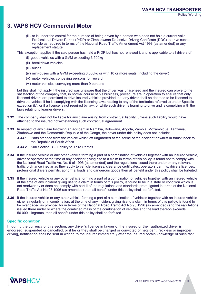## **3. VAPS HCV Commercial Motor**

(iii) or is under the control for the purpose of being driven by a person who does not hold a current valid Professional Drivers Permit (PrDP) or Zimbabwean Defensive Driving Certificate (DDC) to drive such a vehicle as required in terms of the National Road Traffic Amendment Act 1998 (as amended) or any replacement statute.

This exception applies if the said person has held a PrDP but has not renewed it and is applicable to all drivers of

- (i) goods vehicles with a GVM exceeding 3,500kg
- (ii) breakdown vehicles
- (iii) buses
- (iv) mini-buses with a GVM exceeding 3,500kg or with 10 or more seats (including the driver)
- (v) motor vehicles conveying persons for reward
- (vi) motor vehicles conveying more than 9 persons

but this shall not apply if the insured was unaware that the driver was unlicensed and the insured can prove to the satisfaction of the company that, in normal course of his business, procedure are in operation to ensure that only licensed drivers are permitted to drive insured vehicles provided that any driver shall be deemed to be licensed to drive the vehicle if he is complying with the licensing laws relating to any of the territories referred to under Specific exception (b), or if a licence is not required by law, or while such driver is learning to drive and is complying with the laws relating to learner drivers.

- **3.32** The company shall not be liable for any claim arising from contractual liability, unless such liability would have attached to the insured notwithstanding such contractual agreement.
- **3.33** In respect of any claim following an accident in Namibia, Botswana, Angola, Zambia, Mozambique, Tanzania, Zimbabwe and the Democratic Republic of the Congo, the cover under this policy does not include:
	- **3.33.1** Parts stripped from the vehicle whilst left unguarded at the scene of the accident or whilst in transit back to the Republic of South Africa.
	- **3.33.2** Sub Section B Liability to Third Parties.
- **3.34** If the insured vehicle or any other vehicle forming a part of a combination of vehicles together with an insured vehicle, driver or operator at the time of any accident giving rise to a claim in terms of this policy is found not to comply with the National Road Traffic Act No. 9 of 1996 (as amended) and the regulations issued there under or any relevant traffic ordinance insofar as they apply to vehicle licenses, clearance certificates, operators permits, drivers licences, professional drivers permits, abnormal loads and dangerous goods then all benefit under this policy shall be forfeited.
- **3.35** If the insured vehicle or any other vehicle forming a part of a combination of vehicles together with an insured vehicle at the time of any incident giving rise to a claim in terms of this policy, is found to be in a state or condition which is not roadworthy or does not comply with part II of the regulations and standards promulgated in terms of the National Road Traffic Act No 93 1996 (as amended) then all benefit under this policy shall be forfeited.
- **3.36** If the insured vehicle or any other vehicle forming a part of a combination of vehicles together with an insured vehicle either singularly or in combination, at the time of any incident giving rise to a claim in terms of this policy, is found to be overloaded as provided for in terms of the National Road Traffic Act No 93 1996 (as amended) and the regulations issued there under or where the combined mass of the combination of vehicles and the load thereon exceeds 56 000 kilograms, then all benefit under this policy shall be forfeited.

#### **Specific condition**

If, during the currency of this section, any driver's licence in favour of the insured or their authorized driver is endorsed, suspended or cancelled, or if he or they shall be charged or convicted of negligent, reckless or improper driving, notification shall be sent in writing to the insurer immediately after the insured obtain knowledge of such fact.

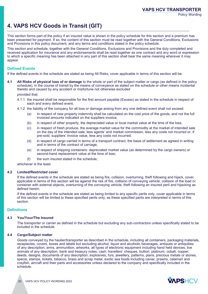## **4. VAPS HCV Goods in Transit (GIT)**

This section forms part of the policy if an insured value is shown in the policy schedule for this section and a premium has been presented for payment. If so, the content of this section must be read together with the General Conditions, Exclusions and Provisions in this policy document, and any terms and conditions stated in the policy schedule.

This section and schedule, together with the General Conditions, Exclusions and Provisions and the duly completed and received application for insurance and any endorsements shall be read together as one contract and any word or expression to which a specific meaning has been attached in any part of this section shall bear the same meaning wherever it may appear.

#### **Defined Events**

If the defined events in the schedule are stated as being All Risks, cover applicable in terms of this section will be:

**4.1 All Risks of physical loss of or damage** to the whole or part of the subject matter or cargo (as defined in the policy schedule), in the course of transit by the means of conveyance as stated on the schedule or other means incidental thereto and caused by any accident or misfortune not otherwise excluded

provided that:

- 4.1.1 the insured shall be responsible for the first amount payable (Excess) as stated in the schedule in respect of each and every defined event,
- 4.1.2 the liability of the company for all loss or damage arising from any one defined event shall not exceed:
	- (a) In respect of new property indemnity shall be calculated on the cost price of the goods, and not the full invoiced amounts indicated on the suppliers invoice;
	- (b) in respect of other property, the depreciated value or local market value at the time of the loss;
	- (c) in respect of fresh produce, the average market value for the commodity at the market of intended sale on the day of the intended sale, less agents' and market commission, less any costs not incurred or, if pre-sold, suppliers' invoice value, less any costs not incurred;
	- (d) in respect of cargo carried in terms of a transport contract, the basis of settlement as agreed in writing and in terms of the contract of carriage;
	- (e) in respect of shipping containers: depreciated market value (as determined by the cargo owners) or second-hand replacement value at the time of loss;
	- (f) the sum insured stated in the schedule;

whichever is the least.

#### **4.2 Limited/Restricted cover**

If the defined events in the schedule are stated as being fire, collision, overturning, theft following and hijack, cover applicable in terms of this section will be against the risk of fire, collision of conveying vehicle, collision of the load or container with external objects, overturning of the conveying vehicle, theft following an insured peril and hijacking as defined herein.

If the defined events in the schedule are stated as being limited to any specific perils only, cover applicable in terms of this section will be limited to these specified perils only, as these specified perils are interpreted in terms of this section.

#### **Definitions**

#### **4.3 You/Your/The Insured**

The transporter or carrier as defined in the schedule but excluding any sub-contractors unless specifically stated to be included in the schedule.

#### **4.4 Cargo/Subject matter**

Goods conveyed by the haulier/transporter as described in the schedule, including all containers, packaging materials, receptacles, covers, boxes and labels but excluding alcohol, liquor and alcoholic beverages, antiques or antiquities of any description, arms, ammunition, artworks, all types of electronic equipment including hand held devices, live animals of any description, bank and treasury notes, cash, travellers' cheques, bullion, platinum, cobalt, copper, deeds, designs, documents of any description, explosives, furs, jewellery, patterns, plans, precious metals or stones, specie, stamps, tickets, tobacco, brass and scrap metal, exotic sea foods including caviar, prawns, calamari and crayfish, aircraft and their parts and accessories unless declared to the company and specifically included in the schedule.

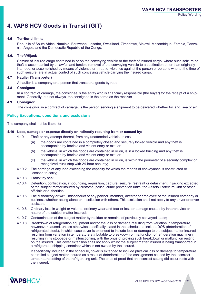## **4. VAPS HCV Goods in Transit (GIT)**

#### **4.5 Territorial limits**

Republic of South Africa, Namibia, Botswana, Lesotho, Swaziland, Zimbabwe, Malawi, Mozambique, Zambia, Tanzania, Angola and the Democratic Republic of the Congo.

#### **4.6. Theft/Hijack**

Seizure of insured cargo contained in or on the conveying vehicle or the theft of insured cargo, where such seizure or theft is accompanied by unlawful and forcible removal of the conveying vehicle to a destination other than originally intended, or accomplished by means of violence or threat of violence against the person or persons who, at the time of such seizure, are in actual control of such conveying vehicle carrying the insured cargo.

#### **4.7 Haulier (Transporter)**

A haulier is a company or a person that transports goods by road.

#### **4.8 Consignee**

In a contract of carriage, the consignee is the entity who is financially responsible (the buyer) for the receipt of a shipment. Generally, but not always, the consignee is the same as the receiver.

#### **4.9 Consignor**

The consignor, in a contract of carriage, is the person sending a shipment to be delivered whether by land, sea or air.

#### **Policy Exceptions, conditions and exclusions**

The company shall not be liable for:

#### **4.10 Loss, damage or expense directly or indirectly resulting from or caused by:**

- 4.10.1 Theft or any attempt thereat, from any unattended vehicle unless:
	- (a) the goods are contained in a completely closed and securely locked vehicle and any theft is accompanied by forcible and violent entry or exit; or
	- (b) the vehicle, in which the goods are contained in or on, is in a locked building and any theft is accompanied by forcible and violent entry or exit, or
	- (c) the vehicle, in which the goods are contained in or on, is within the perimeter of a security complex or recognized truck stop with 24-hour security;
- 4.10.2 The carriage of any load exceeding the capacity for which the means of conveyance is constructed or licensed to carry;
- 4.10.3 Transit by sea;
- 4.10.4 Detention, confiscation, impounding, requisition, capture, seizure, restraint or detainment (hijacking excepted) of the subject matter insured by customs, police, crime prevention units, the Assets Forfeiture Unit or other officials or authorities;
- 4.10.5 The dishonesty or wilful misconduct of any partner, member, director or employee of the insured company or business whether acting alone or in collusion with others. This exclusion shall not apply to any driver or driver assistant;
- 4.10.6 Ordinary loss in weight or volume, ordinary wear and tear or loss or damage caused by inherent vice or nature of the subject matter insured;
- 4.10.7 Contamination of the subject matter by residue or remains of previously conveyed loads;
- 4.10.8 Breakdown of refrigeration equipment and/or the loss or damage resulting from variation in temperature howsoever caused, unless otherwise specifically stated in the schedule to include DOS (deterioration of refrigerated stock), in which case cover is extended to include loss or damage to the subject matter insured resulting from variation in temperature attributable to breakdown or malfunction of refrigeration machinery resulting in its stoppage or malfunctioning, with the onus of proving such breakdown or malfunction resting on the insured. This cover extension shall not apply whilst the subject matter insured is being transported in a refrigerated shipping container which is not owned by the insured.

If specifically included in the schedule, cover is extended to include physical loss or damage to temperature controlled subject matter insured as a result of deterioration of the consignment caused by the incorrect temperature setting of the refrigerating unit. The onus of proof that an incorrect setting did occur rests with the insured.

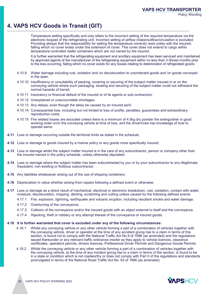## **4. VAPS HCV Goods in Transit (GIT)**

Temperature setting specifically and only refers to the incorrect setting of the required temperature via the electronic keypad of the refrigerating unit. Incorrect setting of airflow intake/outflow/circulation is excluded. Providing always that the responsibility for setting the temperature correctly rests solely with the insured, failing which no cover exists under this extension of cover. This cover does not extend to cargo within temperature-controlled reefer containers which are not owned by the insured.

It is further warranted that the refrigerating equipment and ancillary equipment has been serviced and maintained by approved agents of the manufacturer of the refrigerating equipment within no less than 3 (three) months prior to the loss occurring, failing which no cover exists for any losses relating to deterioration of refrigerated goods

- 4.10.9 Water damage including rust, oxidation and /or discolouration to unprotected goods and /or goods conveyed in the open.
- 4.10.10 Insufficiency or unsuitability of packing, covering or securing of the subject matter insured in or on the conveying vehicle where such packaging, stowing and securing of the subject matter could not withstand the normal hazards of transit;
- 4.10.11 Insolvency or financial default of the insured or of its agents or sub-contractors;
- 4.10.12 Unexplained or unaccountable shortages;
- 4.10.13 Any delays, even though the delay be caused by an insured peril;
- 4.10.14 Consequential loss, including but not limited to loss of profits, penalties, guarantees and extraordinary reproduction costs;
- 4.10.15 Fire related losses are excluded unless there is a minimum of 4.5kg dry powder fire extinguisher in good working order on/in the conveying vehicle at time of loss, and the driver/crew has knowledge of how to operate same.
- **4.11** Loss or damage occurring outside the territorial limits as stated in the schedule;
- **4.12** Loss or damage to goods insured by a marine policy or any goods more specifically insured;
- **4.13** Loss or damage whilst the subject matter insured is in the care of any subcontractor, person or company other than the insured named in the policy schedule, unless otherwise stipulated;
- **4.14** Loss or damage where the subject matter has been subcontracted by you or by your subcontractor to any illegitimate, fraudulent, non-existing or fictitious subcontractor;
- **4.15** Any liabilities whatsoever arising out of the use of shipping containers;
- **4.16** Depreciation in value whether arising from repairs following a defined event or otherwise.
- **4.17** Loss or damage as a direct result of mechanical, electrical or electronic breakdown, rust, oxidation, contact with water, moisture, discolouration, chipping, denting, scratching and cutting unless caused by the following defined events:
	- 4.17.1 Fire, explosion, lightning, earthquake and volcanic eruption, including resultant smoke and water damage.
	- 4.17.2 Overturning of the conveyance.
	- 4.17.3 Collision of the conveyance and/or the insured goods with an object external to itself and the conveyance.
	- 4.17.4 Hijacking, theft or robbery or any attempt thereat of the conveyance or insured goods.

#### **4.18 It is further warranted that cover is excluded under any of the following circumstances:**

- 4.18.1 Whilst any conveying vehicle or any other vehicle forming a part of a combination of vehicles together with the conveying vehicle, driver or operator at the time of any accident giving rise to a claim in terms of this section, is found not to comply with the National Traffic Act No.9 of 1996 (as amended) and the regulations issued thereunder or any relevant traffic ordinance insofar as they apply to vehicle licences, clearance certificates, operators permits, drivers licences, Professional Driver Permits and Dangerous Goods Permits.
- 4.18.2 Whilst the conveying vehicle or any other vehicle forming a part of a combination of vehicles together with the conveying vehicle, at the time of any incident giving rise to a claim in terms of this section, is found to be in a state or condition which is not roadworthy or does not comply with Part II of the regulations and standards promulgated in terms of the National Road Traffic Act No. 93 of 1996 (as amended).

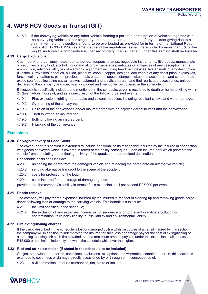## **4. VAPS HCV Goods in Transit (GIT)**

4.18.3 If the conveying vehicle or any other vehicle forming a part of a combination of vehicles together with the conveying vehicle, either singularly or in combination, at the time of any incident giving rise to a claim in terms of this section is found to be overloaded as provided for in terms of the National Road Traffic Act No.93 of 1996 (as amended) and the regulations issued there under by more than 5% of the weight such vehicle combination is licensed to carry, then all benefit under this section shall be forfeited .

#### **4.19 Cargo Exclusions:**

Cash, bank and currency notes, coins, bonds, coupons, stamps, negotiable instruments, title deeds, manuscripts or securities of any kind, alcohol, liquor and alcoholic beverages, antiques or antiquities of any description, arms, ammunition, artworks, all types of electronic equipment including hand held devices, live animals of any description (livestock), travellers' cheques, bullion, platinum, cobalt, copper, designs, documents of any description, explosives, furs, jewellery, patterns, plans, precious metals or stones, specie, stamps, tickets, tobacco, brass and scrap metal, exotic sea foods including caviar, prawns, calamari and crayfish, aircraft and their parts and accessories, unless declared to the company and specifically included and mentioned as covered in the schedule.

If livestock is specifically included and mentioned in the schedule, cover is restricted to death or humane killing within 24 (twenty-four) hours of, and as a direct result of the following defined events:

- 4.19.1 Fire, explosion, lighting, earthquake and volcanic eruption, including resultant smoke and water damage.
- 4.19.2 Overturning of the conveyance.
- 4.19.3 Collision of the conveyance and/or insured cargo with an object external to itself and the conveyance.
- 4.19.4 Theft following an insured peril.
- 4.19.5 Bolting following an insured peril.
- 4.19.6 Hijacking of the conveyance.

#### **Extensions**

#### **4.20 Salvage/recovery of Load Costs**

The cover under this section is extended to include additional costs reasonably incurred by the insured in connection with goods conveyed which is covered in terms of the policy consequent upon an insured peril which prevents the vehicle from completing or continuing delivery of the goods to the predefined destination.

Reasonable costs shall include:

- 4.20.1 unloading the cargo from the damaged vehicle and reloading the cargo onto an alternative vehicle;
- 4.20.2 sending alternative transport to the scene of the accident;
- 4.20.3 costs for protection of the load;
- 4.20.4 costs incurred for the storage of damaged goods.

provided that the company's liability in terms of this extension shall not exceed R25 000 per event.

#### **4.21 Debris removal**

The company will pay for the expenses incurred by the insured in respect of clearing up and removing goods/cargo debris following loss or damage to the carrying vehicle. This benefit is subject to:

- 4.21.1 the limit specified in the schedule;
- 4.21.2 the exclusion of any expenses incurred in consequence of or to prevent or mitigate pollution or contamination, third party liability, public liability and environmental liability.

#### **4.22 Fire extinguishing charges**

If the cargo described in the schedule is lost or damaged by fire whilst in course of a transit insured by this section the company will in addition to indemnifying the Insured for such loss or damage pay for the cost of extinguishing or attempting to extinguish such fire provided that the maximum amount payable under this extension shall not exceed R15,000 or the limit of indemnity shown in the schedule whichever the higher.

#### **4.23 Riot and strike extension (if stated in the schedule to be included)**

Subject otherwise to the terms, conditions, exclusions, exceptions and warranties contained therein, this section is extended to cover loss or damage directly occasioned by or through or in consequence of:

4.23.1 civil commotion, labour disturbances, riot, strike or lockout;

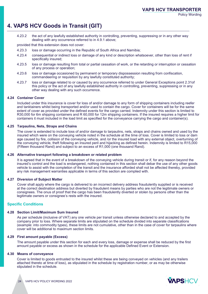## **4. VAPS HCV Goods in Transit (GIT)**

4.23.2 the act of any lawfully established authority in controlling, preventing, suppressing or in any other way dealing with any occurrence referred to in 4.9.1 above;

provided that this extension does not cover:

- 4.23.3 loss or damage occurring in the Republic of South Africa and Namibia;
- 4.23.4 consequential or indirect loss or damage of any kind or description whatsoever, other than loss of rent if specifically insured;
- 4.23.5 loss or damage resulting from total or partial cessation of work, or the retarding or interruption or cessation of any process or operation;
- 4.23.6 loss or damage occasioned by permanent or temporary dispossession resulting from confiscation, commandeering or requisition by any lawfully constituted authority;
- 4.23.7 loss or damage related to or caused by any occurrence referred to under General Exceptions point 2.31of this policy or the act of any lawfully established authority in controlling, preventing, suppressing or in any other way dealing with any such occurrence.

#### **4.24 Container Cover**

Included under this insurance is cover for loss of and/or damage to any form of shipping containers including reefer and tanktainers whilst being transported and/or used to contain the cargo. Cover for containers will be for the same extent of cover as provided under the defined events for the cargo carried. Indemnity under this section is limited to R30,000 for 6m shipping containers and R 60,000 for 12m shipping containers. If the insured requires a higher limit for containers it must included in the load limit as specified for the conveyance carrying the cargo and container(s).

#### **4.25 Tarpaulins, Nets, Straps and Chains**

The cover is extended to include loss of and/or damage to tarpaulins, nets, straps and chains owned and used by the insured which were on the conveying vehicle noted in the schedule at the time of loss. Cover is limited to loss or dam age caused by fire, collision of the conveying vehicle, and /or the insured load with any external object, overturning of the conveying vehicle, theft following an insured peril and hijacking as defined herein. Indemnity is limited to R15,000 (Fifteen thousand Rand) and subject to an excess of R1,000 (one thousand Rand).

#### **4.26 Alternative transport following a breakdown or related problem**

It is agreed that in the event of a breakdown of the conveying vehicle during transit or if, for any reason beyond the insured's control and the load is endangered, nothing contained in this section shall debar the use of any other goods vehicle to assist with the completion of the transit and the insurance afforded shall not be affected thereby, provided any risk management warranties applicable in terms of this section are complied with.

#### **4.27 Diversion of Subject Matter**

Cover shall apply where the cargo is delivered to an incorrect delivery address fraudulently supplied or is received at the correct destination address but diverted by fraudulent means by parties who are not the legitimate owners or consignees. The onus of proof that the cargo has been fraudulently diverted or stolen by persons other than the legitimate owners or consignee's rests with the insured.

#### **Specific Conditions**

#### **4.28 Section Limit/Maximum Sum Insured**

As per schedule (inclusive of VAT) any one vehicle per transit unless otherwise declared to and accepted by the company prior to loss. Where separate limits are stipulated on the schedule divided into separate classifications (example: into commodity types), these limits are not cumulative, other than in the case of cover for tarpaulins where cover will be additional to maximum section limits.

#### **4.29 First amount payable (Excess)**

The amount payable under this section for each and every loss, damage or expense shall be reduced by the first amount payable or excess as shown in the schedule for the applicable Defined Event or Extension.

#### **4.30 Means of conveyance**

Cover is limited to goods entrusted to the insured whilst these are being conveyed on vehicles (and any trailers attached thereto at time of loss), as stipulated in the schedule by registration number, or as may be otherwise stipulated in the schedule.

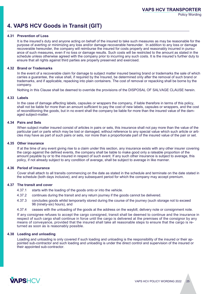## **4. VAPS HCV Goods in Transit (GIT)**

#### **4.31 Prevention of Loss**

It is the insured's duty and anyone acting on behalf of the insured to take such measures as may be reasonable for the purpose of averting or minimizing any loss and/or damage recoverable hereunder. In addition to any loss or damage recoverable hereunder, the company will reimburse the insured for costs properly and reasonably incurred in pursuance of such measures, even if no loss or damage results. Such costs will be restricted to the amount as stated in the schedule unless otherwise agreed with the company prior to incurring any such costs. It is the insured's further duty to ensure that all rights against third parties are properly preserved and exercised.

#### **4.32 Brand or Trademarks**

In the event of a recoverable claim for damage to subject matter insured bearing brand or trademarks the sale of which carries a guarantee, the value shall, if required by the Insured, be determined only after the removal of such brand or trademarks, and if applicable, repacking into plain containers. The cost of removal or repacking shall be borne by the company.

Nothing in this Clause shall be deemed to override the provisions of the DISPOSAL OF SALVAGE CLAUSE herein.

#### **4.33 Labels**

In the case of damage affecting labels, capsules or wrappers the company, if liable therefore in terms of this policy, shall not be liable for more than an amount sufficient to pay the cost of new labels, capsules or wrappers, and the cost of reconditioning the goods, but in no event shall the company be liable for more than the insured value of the damaged subject-matter.

#### **4.34 Pairs and Sets**

When subject matter insured consist of articles in pairs or sets, this insurance shall not pay more than the value of the particular part or parts which may be lost or damaged, without reference to any special value which such article or articles may have as part of such pairs or sets, nor more than a proportionate part of the insured value of the pair or set.

#### **4.35 Other insurance**

If at the time of any event giving rise to a claim under this section, any insurance exists with any other insurer covering the cargo against the defined events, the company shall be liable to make good only a rateable proportion of the amount payable by or to the insured in respect of such event. If any such other insurance is subject to average, this policy, if not already subject to any condition of average, shall be subject to average in like manner.

#### **4.36 Period of insurance**

Cover shall attach to all transits commencing on the date as stated in the schedule and terminate on the date stated in the schedule (both days inclusive), and any subsequent period for which the company may accept premium.

#### **4.37 The transit and cover**

- 4.37.1 starts with the loading of the goods onto or into the vehicle.
- 4.37.2 continues during the transit and any return journey if the goods cannot be delivered.
- 4.37.3 concludes goods whilst temporarily stored during the course of the journey (such storage not to exceed 96 (ninety-six) hours), and
- 4.37.4 ceases with the unloading of the goods at the address on the waybill, delivery note or consignment note.

If any consignee refuses to accept the cargo consigned, transit shall be deemed to continue and the insurance in respect of such cargo shall continue in force until the cargo is delivered at the premises of the consignor by any means of conveyance, provided that the insured shall take all reasonable steps to ensure that the cargo is returned as soon as is reasonably possible.

#### **4.38 Loading and unloading**

Loading and unloading is only covered if such loading and unloading is the responsibility of the insured or their appointed sub-contractor and such loading and unloading is under the direct control and supervision of the insured or their appointed sub-contractor.

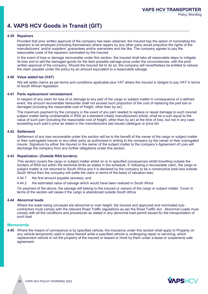## **4. VAPS HCV Goods in Transit (GIT)**

#### **4.39 Repairers**

Provided that prior written approval of the company has been obtained, the Insured has the option of nominating the repairers to be employed (including themselves) where repairs by any other party would prejudice the rights of the manufacturers' and/or suppliers' guarantees and/or warranties and the like. The company agrees to pay the reasonable costs of the repairers nominated by the Insured.

In the event of loss or damage recoverable under this section, the Insured shall take all reasonable steps to mitigate its loss and to sell the damaged goods for the best possible salvage price under the circumstances, with the prior written approval of the company. Should the Insured fail to do so, the company will nevertheless be entitled to reduce the claim payable under the policy by an amount equivalent to a reasonable salvage.

#### **4.40 Value added tax (VAT)**

We will settle claims as per terms and conditions applicable plus VAT where the insured is obliged to pay VAT in terms of South African legislation.

#### **4.41 Parts replacement/ reinstatement**

In respect of any claim for loss of or damage to any part of the cargo or subject matter in consequence of a defined event, the amount recoverable hereunder shall not exceed such proportion of the cost of replacing the part lost or damaged (including the reasonable cost of freight, other than by air).

The maximum payment by the company in the event of any part needed to replace or repair damage to such insured subject matter being unobtainable in RSA as a standard (ready manufactured) article, shall be a sum equal to the value of such part (including the reasonable cost of freight, other than by air) at the time of loss, but not in any case exceeding such part's price as stated in the manufacturers last issued catalogue or price list.

#### **4.42 Settlement**

Settlement of any loss recoverable under this section will be to the benefit of the owner of the cargo or subject matter or their subrogated insurer or any other party as authorised in writing to the company by the owner or their subrogated insurer. Signature by either the insured or the owner of the subject matter to the company's Agreement of Loss will discharge the company from any further obligations under this section.

#### **4.43 Repatriation: (Outside RSA borders)**

This section covers the cargo or subject matter whilst on or in specified conveyances whilst travelling outside the borders of RSA but within the territorial limits as stated in the schedule. If, following a recoverable claim, the cargo or subject matter is not returned to South Africa and it is declared by the company to be a constructive total loss outside South Africa then the company will settle the claim in terms of the basis of valuation less:

4.44.1 the first amount payable (excess); and

4.44.2 the estimated value of salvage which would have been realized in South Africa

On payment of the above, the salvage will belong to the insured or owners of the cargo or subject matter. Cover in terms of the section will cease if the cargo is abandoned outside South Africa.

#### **4.44 Abnormal loads**

Where the loads being conveyed are abnormal or over height, the insured and approved and nominated subcontractors must comply with the relevant Road Traffic regulations as per the Road Traffic Act. Abnormal Loads must comply with all the conditions and procedures as stated in any abnormal load permit issued for the transportation of such load.

#### **Memoranda**

**4.45** Where the means of conveyance is by specified vehicle, the insurance under this section shall apply to Property on any vehicle temporarily used in place thereof while a specified vehicle is undergoing repair or servicing, which replacement vehicle is not the property of the insured or leased or hired by them under a lease or suspensive sale agreement.

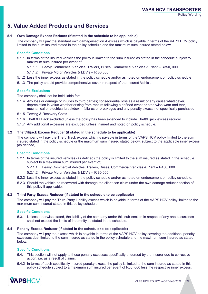## **5. Value Added Products and Services**

#### **5.1 Own Damage Excess Reducer (if stated in the schedule to be applicable)**

The company will pay the standard own damage/section A excess which is payable in terms of the VAPS HCV policy limited to the sum insured stated in the policy schedule and the maximum sum insured stated below.

#### **Specific Conditions**

- 5.1.1 In terms of the insured vehicles the policy is limited to the sum insured as stated in the schedule subject to maximum sum insured per event of;
	- 5.1.1.1 Heavy Commercial Vehicles, Trailers, Buses, Commercial Vehicles & Plant R350, 000
	- 5.1.1.2 Private Motor Vehicles & LDV's R 80 000
- 5.1.2 Less the inner excess as stated in the policy schedule and/or as noted on endorsement on policy schedule
- 5.1.3 The policy should provide comprehensive cover in respect of the Insured Vehicle.

#### **Specific Exclusions**

The company shall not be held liable for:

- 5.1.4 Any loss or damage or injuries to third parties; consequential loss as a result of any cause whatsoever, depreciation in value whether arising from repairs following a defined event or otherwise wear and tear, mechanical or electrical breakdown, failures or breakages and any penalty excess not specifically purchased.
- 5.1.5 Towing & Recovery Costs
- 5.1.6 Theft & Hijack excluded unless the policy has been extended to include Theft/Hijack excess reducer
- 5.1.7 Any additional excesses are excluded unless Insured and noted on policy schedule.

#### **5.2 Theft/Hijack Excess Reducer (if stated in the schedule to be applicable)**

The company will pay the Theft/Hijack excess which is payable in terms of the VAPS HCV policy limited to the sum insured stated in the policy schedule or the maximum sum insured stated below, subject to the applicable inner excess (as defined).

#### **Specific Conditions**

- 5.2.1 In terms of the insured vehicles (as defined) the policy is limited to the sum insured as stated in the schedule subject to a maximum sum insured per event of;
	- 5.2.1.1 Heavy Commercial Vehicles, Trailers, Buses, Commercial Vehicles & Plant R450, 000
	- 5.2.1.2 Private Motor Vehicles & LDV's R 80 000
- 5.2.2 Less the inner excess as stated in the policy schedule and/or as noted on endorsement on policy schedule.
- 5.2.3 Should the vehicle be recovered with damage the client can claim under the own damage reducer section of this policy if applicable.

#### **5.3 Third Party Excess Reducer (if stated in the schedule to be applicable)**

The company will pay the Third-Party Liability excess which is payable in terms of the VAPS HCV policy limited to the maximum sum insured stated in this policy schedule.

#### **Specific Conditions**

5.3.1 Unless otherwise stated, the liability of the company under this sub-section in respect of any one occurrence shall not exceed the limits of indemnity as stated in the schedule.

#### **5.4 Penalty Excess Reducer (if stated in the schedule to be applicable)**

The company will pay the excess which is payable in terms of the VAPS HCV policy covering the additional penalty excesses due, limited to the sum insured as stated in the policy schedule and the maximum sum insured as stated below.

#### **Specific Conditions**

- 5.4.1 This section will not apply to those penalty excesses specifically endorsed by the Insurer due to corrective action, i.e. as a result of claims.
- 5.4.2 In terms of each specifically insured penalty excess the policy is limited to the sum insured as stated in this policy schedule subject to a maximum sum insured per event of R80, 000 less the respective inner excess.

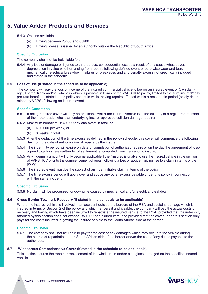## **5. Value Added Products and Services**

- 5.4.3 Options available:
	- (a) Driving between 23h00 and 05h00.
	- (b) Driving license is issued by an authority outside the Republic of South Africa.

#### **Specific Exclusion**

The company shall not be held liable for:

5.4.4 Any loss or damage or injuries to third parties; consequential loss as a result of any cause whatsoever, depreciation in value whether arising from repairs following defined event or otherwise wear and tear, mechanical or electrical breakdown, failures or breakages and any penalty excess not specifically included and stated in the schedule.

#### **5.5 Loss of Use (if stated in the schedule to be applicable)**

The company will pay the loss of income of the insured commercial vehicle following an insured event of Own damage, Theft / Hijack and/or Total loss which is payable in terms of the VAPS HCV policy, limited to the sum insured/daily pro-rata benefit as stated in the policy schedule whilst having repairs effected within a reasonable period (solely determined by VAPS) following an insured event.

#### **Specific Conditions**

- 5.5.1 If being repaired cover will only be applicable whilst the insured vehicle is in the custody of a registered member of the motor trade, who is an underlying insurer approved collision damage repairer.
- 5.5.2 Maximum benefit of R160 000 any one event in total, or
	- (a) R20 000 per week, or
	- (b) 8 weeks in total
- 5.5.3 After the deduction of the time excess as defined in the policy schedule, this cover will commence the following day from the date of authorization of repairs by the insurer.
- 5.5.4 The indemnity period will expire on date of completion of authorized repairs or on the day the agreement of loss/ agreed total loss release/tender of settlement is forwarded from insurer onto insured.
- 5.5.5 Any indemnity amount will only become applicable if the I\insured is unable to use the insured vehicle in the opinion of VAPS HCV prior to the commencement of repair following a loss or accident giving rise to a claim in terms of the policy.
- 5.5.6 The insured event must be the subject of an indemnifiable claim in terms of the policy.
- 5.5.7 The time excess period will apply over and above any other excess payable under this policy in connection with the same incident.

#### **Specific Exclusion**

5.5.8 No claim will be processed for downtime caused by mechanical and/or electrical breakdown.

#### **5.6 Cross Border Towing & Recovery (if stated in the schedule to be applicable)**

Where the insured vehicle is involved in an accident outside the borders of the RSA and sustains damage which is insured in terms of Section 2 of the policy and which renders it undriveable, the company will pay the actual costs of recovery and towing which have been incurred to repatriate the insured vehicle to the RSA, provided that the indemnity afforded by this section does not exceed R50,000 per insured item, and provided that the cover under this section only pays for the costs incurred in getting the insured vehicle to the South African side of the border.

#### **Specific Exclusion**

5.6.1 The company shall not be liable to pay for the cost of any damages which may occur to the vehicle during the course of repatriation to the South African side of the border and/or the cost of any duties payable to the authorities.

#### **5.7 Windscreen Comprehensive Cover (if stated in the schedule to be applicable)**

This section insures the repair or replacement of the windscreen and/or side glass damaged on the specified insured vehicle.

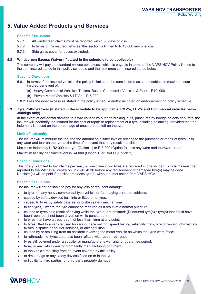## **5. Value Added Products and Services**

#### **Specific Exclusions**

- 5.7.1 All windscreen claims must be reported within 30 days of loss
- 5.7.2 In terms of the insured vehicles, this section is limited to R 15 000 any one loss.
- 5.7.3 Side glass cover for buses excluded.

#### **5.8 Windscreen Excess Waiver (if stated in the schedule to be applicable)**

The company will pay the standard windscreen excess which is payable in terms of the VAPS HCV Policy limited to the sum insured stated in this policy schedule and the maximum sum insured stated below.

#### **Specific Conditions**

- 5.8.1 In terms of the insured vehicles the policy is limited to the sum insured as stated subject to maximum sum insured per event of;
	- (a) Heavy Commercial Vehicles, Trailers, Buses, Commercial Vehicles & Plant R10, 000
	- (b) Private Motor Vehicles & LDV's R 5 000

5.8.2 Less the inner excess as stated in the policy schedule and/or as noted on endorsement on policy schedule.

#### **5.9 Tyre/Pothole Cover (if stated in the schedule to be applicable. PMV's, LDV's and Commercial vehicles below 3500kgs only)**

In the event of accidental damage to a tyre caused by sudden braking, cuts, punctures by foreign objects or bursts, the insurer will indemnify the Insured for the cost of repair or replacement of a tyre including balancing, provided that the indemnity is based on the percentage of unused tread left on the tyre.

#### **Limit of Indemnity**

The insurer will reimburse the Insured the amount on his/her invoice relating to the purchase or repair of tyres, less any wear and tear on the tyre at the time of an event that may result in a claim.

Maximum indemnity is R2 000 per tyre (Option 1) or R 3 000 (Option 2), less any wear and tear/worn tread. Maximum liability per claim/event is R4 000 (Option 1) or R6000 (Option 2).

#### **Specific Conditions**

This policy is limited to two claims per year, or one claim if two tyres are replaced in one incident. All claims must be reported to the VAPS call centre on 012 942 4536 before any replacement of damaged tyre(s) may be done. No claim(s) will be paid if the client replaces tyre(s) without authorisation from VAPS HCV.

#### **Specific Exclusions**

The Insurer will not be liable to pay for any loss or resultant damage:

- $\blacktriangleright$ to tyres on any heavy commercial type vehicle or fare paying transport vehicles;
- caused by safety devices built into or fitted onto tyres;
- caused to tyres by safety devices, or built-in safety mechanisms;
- $\blacktriangleright$ to flat tyres, - where the tyre cannot be repaired as a result of a normal puncture;
- caused to tyres as a result of driving while the tyre(s) are deflated; (Punctured tyre(s)-: tyre(s) that could have been repaired, if not been driven on while punctured.)
- $\blacktriangleright$ to tyres that have a tread depth of less than 1mm at any point;
- $\blacktriangleright$ to tyres fitted to a vehicle used for racing, pace setting, speed testing, reliability trials, hire or reward, off-road activities, dispatch or courier services, or driving tuition;
- caused by or resulting from an accident involving the motor vehicle on which the tyres were fitted;
- $\blacktriangleright$ to rethreads, i.e. tyres that have been refitted with rubber rethreads;
- $\blacktriangleright$ tyres still covered under a supplier or manufacturer's warranty or guarantee period;
- $\blacktriangleright$ from, or any liability arising from faulty manufacturing or fitment;
- $\blacktriangleright$ to the vehicle resulting from an event covered by this policy;
- $\blacktriangleright$ to rims, mags or any safety devices fitted on or in the tyre;
- or liability to third parties, or third party property damage;

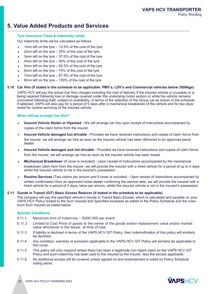## **5. Value Added Products and Services**

#### **Tyre Insurance Tread & Indemnity Limits**

Our indemnity limits will be calculated as follows

- 1mm left on the tyre 12.5% of the cost of the tyre
- 2mm left on the tyre 25% of the cost of the tyre
- 3mm left on the tyre 37.5% of the cost of the tyre
- 4mm left on the tyre 50% of the cost of the tyre
- 5mm left on the tyre 62.5% of the cost of the tyre
- 6mm left on the tyre 75% of the cost of the tyre
- 7mm left on the tyre 87.5% of the cost of the tyre
- 8mm left on the tyre 100% of the cost of the tyre

#### **5.10 Car Hire (if stated in the schedule to be applicable. PMV's, LDV's and Commercial vehicles below 3500kgs)**

VAPS HCV will pay the actual Car Hire charges including the cost of delivery if the insured vehicle is unusable or is being repaired following loss or damage covered under the underlying motor section or while the vehicle remains uncovered following theft, subject to availability, in terms of the selection of the Group car as shown in the schedule. If selected, VAPS will also pay for a period of 5 days after a mechanical breakdown of the vehicle and for two days' rental for routine servicing of the Insured vehicle.

#### **When will we arrange Car Hire?**

- $\blacktriangleright$ **Insured Vehicle Stolen or Hijacked** - We will arrange car hire upon receipt of instructions accompanied by copies of the claim forms from the insurer.
- $\blacktriangleright$ **Insured Vehicle damaged but drivable** - Provided we have received instructions and copies of claim forms from the Insurer, we will arrange car hire as soon as the insured vehicle has been delivered to an approved panel beater
- $\blacktriangleright$ **Insured Vehicle damaged and not drivable** - Provided we have received instructions and copies of claim forms from the insurer, we will arrange car hire as soon as the insured vehicle has been towed.
- **Mechanical Breakdown** (If cover is included) Upon receipt of instructions accompanied by the mechanical breakdown claim form from the insurer, we will provide the insured with a hired vehicle for a period of up to 5 days whilst the insured vehicle is not in the insured's possession.
- **Routine Services** (Two claims per annum and if cover is included) Upon receipt of instructions accompanied by written confirmation from an approved motor dealer confirming the service date, we will provide the insured with a hired vehicle for a period of 2 days, twice per annum, whilst the insured vehicle is not in the insured's possession

#### **5.11 Goods in Transit (GIT) Basic Excess Reducer (if stated in the schedule to be applicable)**

The company will pay the specified vehicle's Goods in Transit Basic Excess, which is calculated and payable on your VAPS HCV Policy limited to the Sum Insured and Specified excesses as stated in the Policy Schedule and the maximum Sum Insured as stated below.

#### **Specific Conditions**

- 5.11.1 Maximum limit of Indemnity R200 000 per event.
- 5.11.2 Limited to Cost Price of goods to the owner of the goods and/or replacement value and/or market value whichever is the lesser, at time of loss.
- 5.11.3 If liability is declined in terms of the VAPS HCV GIT Policy, then indemnification of this policy will similarly be declined.
- 5.11.4 Any condition, warranty or exclusion applicable to the VAPS HCV GIT Policy will similarly be applicable to this cover.
- 5.11.5 This policy will only respond where there has been a legitimate non-hijack claim on the VAPS HCV GIT Policy and such indemnity has been paid to the Insured by the Insurer, less the excess applicable.
- 5.11.6 No additional excess will be covered unless agreed on and endorsement is noted on Policy Schedule noting same.

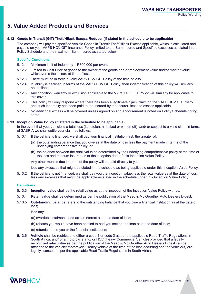## **5. Value Added Products and Services**

#### **5.12 Goods in Transit (GIT) Theft/Hijack Excess Reducer (if stated in the schedule to be applicable)**

The company will pay the specified vehicle Goods in Transit Theft/Hijack Excess applicable, which is calculated and payable on your VAPS HCV GIT Insurance Policy limited to the Sum Insured and Specified excesses as stated in the Policy Schedule and the maximum Sum Insured as stated below.

#### **Specific Conditions**

- 5.12.1 Maximum limit of Indemnity R300 000 per event.
- 5.12.2 Limited to Cost Price of goods to the owner of the goods and/or replacement value and/or market value whichever is the lesser, at time of loss.
- 5.12.3 There must be in force a valid VAPS HCV GIT Policy at the time of loss.
- 5.12.4 If liability is declined in terms of the VAPS HCV GIT Policy, then indemnification of this policy will similarly be declined.
- 5.12.5 Any condition, warranty or exclusion applicable to the VAPS HCV GIT Policy will similarly be applicable to this cover.
- 5.12.6 This policy will only respond where there has been a legitimate hijack claim on the VAPS HCV GIT Policy and such indemnity has been paid to the Insured by the Insurer, less the excess applicable.
- 5.12.7 No additional excess will be covered unless agreed on and endorsement is noted on Policy Schedule noting same.

#### **5.13 Inception Value Policy (if stated in the schedule to be applicable)**

In the event that your vehicle is a total loss (i.e. stolen, hi-jacked or written off), and/ or subject to a valid claim in terms of SASRIA we shall settle your claim as follows:

- 5.13.1 If the vehicle is financed, we shall pay your financial institution first, the greater of:
	- (a) the outstanding balance that you owe as at the date of loss less the payment made in terms of the underlying comprehensive policy; or
	- (b) the balance between the retail value as determined by the underlying comprehensive policy at the time of the loss and the sum insured as at the inception date of this Inception Value Policy

Any other monies due in terms of the policy will be paid directly to you

less any excesses that might be stated in the schedule as being applicable under this Inception Value Policy.

5.13.2 If the vehicle is not financed, we shall pay you the inception value: less the retail value as at the date of loss; less any excesses that might be applicable as stated in the schedule under this Inception Value Policy

#### **Definitions**

- 5.13.3 **Inception value** shall be the retail value as at the inception of the Inception Value Policy with us;
- 5.13.4 **Retail value** shall be determined as per the publication of the Mead & Mc Grouther Auto Dealers Digest;
- 5.13.5 **Outstanding balance** refers to the outstanding balance that you owe a financial institution as at the date of loss;

less any:

- (a) overdue instalments and arrear interest as at the date of loss;
- (b) rebates you would have been entitled to had you settled the loan as at the date of loss;
- (c) refunds due to you or the financial institutions;
- 5.13.6 **Vehicle** shall be restricted to either a code 1 or code 2 as per the applicable Road Traffic Regulations in South Africa. and/ or a motorcycle and/ or HCV (Heavy Commercial Vehicle) provided that a legally recognized retail value as per the publication of the Mead & Mc Grouther Auto Dealers Digest can be attached to the vehicle/ motorcycle/ Heavy vehicle at the time of the loss occurring and the vehicle(s) are legally licensed as per the applicable Road Traffic Regulations in South Africa.

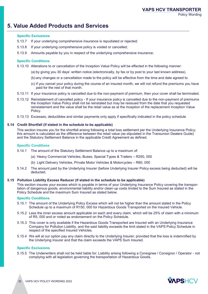## **5. Value Added Products and Services**

#### **Specific Exclusions**

- 5.13.7 If your underlying comprehensive insurance is repudiated or rejected;
- 5.13.8 If your underlying comprehensive policy is voided or cancelled;
- 5.13.9 Amounts payable by you in respect of the underlying comprehensive insurance;

#### **Specific Conditions**

5.13.10 Alterations to or cancellation of the Inception Value Policy will be effected in the following manner:

- (a) by giving you 30 days' written notice (electronically, by fax or by post to your last known address).
- (b) any changes or a cancellation made to the policy will be effective from the time and date agreed to.
- (c) if you cancel your policy during the course of an insured month, we will not refund the premiums you have paid for the rest of that month.
- 5.13.11 If your insurance policy is cancelled due to the non-payment of premium, then your cover shall be terminated.
- 5.13.12 Reinstatement of cancelled policy If your insurance policy is cancelled due to the non-payment of premiums the Inception Value Policy shall not be reinstated but may be reissued from the date that you requested reinstatement and the value shall be the retail value as at the inception of the replacement Inception Value Policy.
- 5.13.13 Excesses, deductibles and similar payments only apply if specifically indicated in the policy schedule

#### **5.14 Credit Shortfall (if stated in the schedule to be applicable)**

This section insures you for the shortfall arising following a total loss settlement per the Underlying Insurance Policy; this amount is calculated as the difference between the retail value (as stipulated in the Transunion Dealers Guide) and the Statutory Settlement Balance in the applicable Credit Agreement as defined.

#### **Specific Conditions**

- 5.14.1 The amount of the Statutory Settlement Balance up to a maximum of:
	- (a) Heavy Commercial Vehicles, Buses, Special Types & Trailers R250, 000
	- (b) Light Delivery Vehicles, Private Motor Vehicles & Motorcycles R60, 000
- 5.14.2 The amount paid by the Underlying Insurer (before Underlying Insurer Policy excess being deducted) will be deducted.

#### **5.15 Pollution Liability Excess Reducer (if stated in the schedule to be applicable)**

This section insures your excess which is payable in terms of your Underlying Insurance Policy covering the transportation of dangerous goods, environmental liability and/or clean-up costs limited to the Sum Insured as stated in the Policy Schedule and the maximum Sum Insured as stated below.

#### **Specific Conditions**

- 5.15.1 The amount of the Underlying Policy Excess which will not be higher than the amount stated in the Policy Schedule up to a maximum of R150, 000 for Hazardous Goods Transported on the Insured Vehicle.
- 5.15.2 Less the inner excess amount applicable on each and every claim, which will be 25% of claim with a minimum of R5, 000 and or noted as endorsement on the Policy Schedule.
- 5.15.3 This cover is only available if the Hazardous Goods Transported are Insured with an Underlying Insurance Company for Pollution Liability, and the said liability exceeds the limit stated in the VAPS Policy Schedule in respect of the specified Insured Vehicles.
- 5.15.4 We will at our option pay any claim directly to the Underlying Insurer; provided that the loss is indemnified by the Underlying Insurer and that the claim exceeds the VAPS Sum Insured.

#### **Specific Exclusions**

5.15.5 The Underwriters shall not be held liable for: Liability arising following a Consignee / Consignor / Operator - not complying with all legislation governing the transportation of Hazardous Goods.

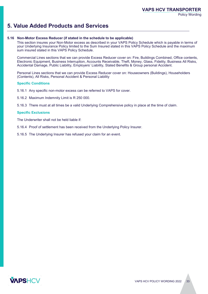## **5. Value Added Products and Services**

#### **5.16 Non-Motor Excess Reducer (if stated in the schedule to be applicable)**

This section insures your Non-Motor excess as described in your VAPS Policy Schedule which is payable in terms of your Underlying Insurance Policy limited to the Sum Insured stated in this VAPS Policy Schedule and the maximum sum insured stated in this VAPS Policy Schedule.

Commercial Lines sections that we can provide Excess Reducer cover on: Fire, Buildings Combined, Office contents, Electronic Equipment, Business Interruption, Accounts Receivable, Theft, Money, Glass, Fidelity, Business All Risks, Accidental Damage, Public Liability, Employers' Liability, Stated Benefits & Group personal Accident.

Personal Lines sections that we can provide Excess Reducer cover on: Houseowners (Buildings), Householders (Contents), All Risks, Personal Accident & Personal Liability

#### **Specific Conditions**

- 5.16.1 Any specific non-motor excess can be referred to VAPS for cover.
- 5.16.2 Maximum Indemnity Limit is R 250 000.

5.16.3 There must at all times be a valid Underlying Comprehensive policy in place at the time of claim.

#### **Specific Exclusions**

The Underwriter shall not be held liable if:

- 5.16.4 Proof of settlement has been received from the Underlying Policy Insurer.
- 5.16.5 The Underlying Insurer has refused your claim for an event.

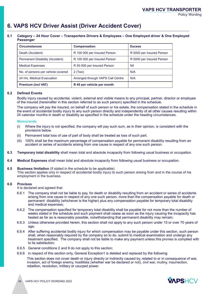## **6. VAPS HCV Driver Assist (Driver Accident Cover)**

#### **6.1 Category – 24 Hour Cover – Transporters Drivers & Employees – One Employed driver & One Employed Passenger**

| <b>Circumstances</b>               | <b>Compensation</b>               | <b>Excess</b>             |
|------------------------------------|-----------------------------------|---------------------------|
| Death (Accident)                   | R 100 000 per Insured Person      | R 5000 per Insured Person |
| Permanent Disability (Accident)    | R 100 000 per Insured Person      | R 5000 per Insured Person |
| <b>Medical Expenses</b>            | R 50 000 per Insured Person       | Nil                       |
| No. of persons per vehicle covered | $2$ (Two)                         | N/A                       |
| 24 hrs. Medical Evacuation         | Arranged through VAPS Call Centre | N/A                       |
| <b>Premium (incl VAT)</b>          | R 45 per vehicle per month        |                           |
|                                    |                                   |                           |

#### **6.2 Defined Events**

Bodily injury caused by accidental, violent, external and visible means to any principal, partner, director or employee of the insured (hereinafter in this section referred to as such person) specified in the schedule.

The company will pay the insured, on behalf of such person or his estate, the compensation stated in the schedule in the event of accidental bodily injury to any such person directly and independently of all other causes resulting within 24 calendar months in death or disability as specified in the schedule under the heading circumstances.

#### **Memoranda**

- (i) Where the injury is not specified, the company will pay such sum, as in their opinion, is consistent with the provisions below.
- (ii) Permanent total loss of use of part of body shall be treated as loss of such part.
- (iii) 100% shall be the maximum percentage of compensation payable for permanent disability resulting from an accident or series of accidents arising from one cause in respect of any one such person.
- **6.3 Temporary total disability** shall mean total and absolute incapacity from following usual business or occupation.
- **6.4 Medical Expenses** shall mean total and absolute incapacity from following usual business or occupation.
- **6.5 Business limitation** (if stated in the schedule to be applicable) This section applies only in respect of accidental bodily injury to such person arising from and in the course of his employment in the business.

#### **6.6 Provisos**

It is declared and agreed that

- The company shall not be liable to pay, for death or disability resulting from an accident or series of accidents arising from one cause in respect of any one such person, more than the compensation payable for death or permanent disability (whichever is the higher) plus any compensation payable for temporary total disability and medical expenses;
- 6.6.2 The compensation specified for temporary total disability shall be payable for not more than the number of weeks stated in the schedule and such payment shall cease as soon as the injury causing the incapacity has healed as far as is reasonably possible, notwithstanding that permanent disability may remain;
- 6.6.3 Unless otherwise provided herein, this section shall not apply to any such person under 15 or over 70 years of age;
- 6.6.4 After suffering accidental bodily injury for which compensation may be payable under this section, such person shall, when reasonably required by the company so to do, submit to medical examination and undergo any treatment specified. The company shall not be liable to make any payment unless this proviso is complied with to its satisfaction;
- 6.6.5 General conditions 2 and 9 do not apply to this section;
- 6.6.6 in respect of this section only, General Exception1 is deleted and replaced by the following:

This section does not cover death or injury directly or indirectly caused by, related to or in consequence of war, invasion, act of foreign enemy, hostilities (whether war be declared or not), civil war, mutiny, insurrection, rebellion, revolution, military or usurped power.

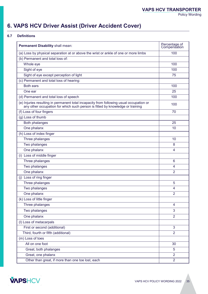## **6. VAPS HCV Driver Assist (Driver Accident Cover)**

#### **6.7 Definitions**

| Permanent Disability shall mean:                                                                                                                                         | Percentage of<br>Compensation |  |  |
|--------------------------------------------------------------------------------------------------------------------------------------------------------------------------|-------------------------------|--|--|
| (a) Loss by physical separation at or above the wrist or ankle of one or more limbs                                                                                      | 100                           |  |  |
| (b) Permanent and total loss of:                                                                                                                                         |                               |  |  |
| Whole eye                                                                                                                                                                | 100                           |  |  |
| Sight of eye                                                                                                                                                             | 100                           |  |  |
| Sight of eye except perception of light                                                                                                                                  | 75                            |  |  |
| (c) Permanent and total loss of hearing:                                                                                                                                 |                               |  |  |
| <b>Both ears</b>                                                                                                                                                         | 100                           |  |  |
| One ear                                                                                                                                                                  | 25                            |  |  |
| (d) Permanent and total loss of speech                                                                                                                                   | 100                           |  |  |
| (e) Injuries resulting in permanent total incapacity from following usual occupation or<br>any other occupation for which such person is fitted by knowledge or training | 100                           |  |  |
| (f) Loss of four fingers                                                                                                                                                 | 70                            |  |  |
| (g) Loss of thumb                                                                                                                                                        |                               |  |  |
| <b>Both phalanges</b>                                                                                                                                                    | 25                            |  |  |
| One phalanx                                                                                                                                                              | 10                            |  |  |
| (h) Loss of index finger                                                                                                                                                 |                               |  |  |
| Three phalanges                                                                                                                                                          | 10                            |  |  |
| Two phalanges                                                                                                                                                            | 8                             |  |  |
| One phalanx                                                                                                                                                              | 4                             |  |  |
| (i) Loss of middle finger                                                                                                                                                |                               |  |  |
| Three phalanges                                                                                                                                                          | 6                             |  |  |
| Two phalanges                                                                                                                                                            | 4                             |  |  |
| One phalanx                                                                                                                                                              | $\overline{2}$                |  |  |
| (j) Loss of ring finger                                                                                                                                                  |                               |  |  |
| Three phalanges                                                                                                                                                          | 5                             |  |  |
| Two phalanges                                                                                                                                                            | 4                             |  |  |
| One phalanx                                                                                                                                                              | 2                             |  |  |
| (k) Loss of little finger                                                                                                                                                |                               |  |  |
| Three phalanges                                                                                                                                                          | 4                             |  |  |
| Two phalanges                                                                                                                                                            | 3                             |  |  |
| One phalanx                                                                                                                                                              | $\overline{2}$                |  |  |
| (I) Loss of metacarpals                                                                                                                                                  |                               |  |  |
| First or second (additional)                                                                                                                                             | 3                             |  |  |
| Third, fourth or fifth (additional)                                                                                                                                      | $\overline{2}$                |  |  |
| (m) Loss of toes                                                                                                                                                         |                               |  |  |
| All on one foot                                                                                                                                                          | 30                            |  |  |
| Great, both phalanges                                                                                                                                                    | 5                             |  |  |
| Great, one phalanx                                                                                                                                                       | $\overline{2}$                |  |  |
| Other than great, if more than one toe lost, each                                                                                                                        | $\overline{2}$                |  |  |

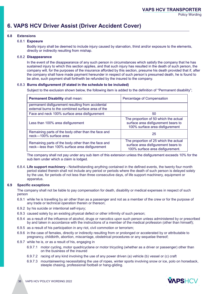## **6. VAPS HCV Driver Assist (Driver Accident Cover)**

#### **6.8 Extensions**

#### 6.8.1 **Exposure**

Bodily injury shall be deemed to include injury caused by starvation, thirst and/or exposure to the elements, directly or indirectly resulting from mishap.

#### 6.8.2 **Disappearance**

In the event of the disappearance of any such person in circumstances which satisfy the company that he has sustained injury to which this section applies, and that such injury has resulted in the death of such person, the company will, for the purposes of the insurance afforded by this section, presume his death provided that if, after the company shall have made payment hereunder in respect of such person's presumed death, he is found to be alive, such payment shall forthwith be refunded by the insured to the company.

#### 6.8.3 **Burns disfigurement (if stated in the schedule to be included)**

Subject to the exclusion shown below, the following item is added to the definition of "Permanent disability";

| <b>Permanent Disability shall mean:</b>                                                                 | Percentage of Compensation                                                                                       |  |
|---------------------------------------------------------------------------------------------------------|------------------------------------------------------------------------------------------------------------------|--|
| permanent disfigurement resulting from accidental<br>external burns to the combined surface area of the |                                                                                                                  |  |
| Face and neck 100% surface area disfigurement                                                           | 50                                                                                                               |  |
| Less than 100% area disfigurement                                                                       | The proportion of 50 which the actual<br>surface area disfigurement bears to<br>100% surface area disfigurement  |  |
| Remaining parts of the body other than the face and<br>neck-100% surface area                           | 25                                                                                                               |  |
| Remaining parts of the body other than the face and<br>neck-less than 100% surface area disfigurement   | The proportion of 25 which the actual<br>surface area disfigurement bears to<br>100% surface area disfigurement. |  |

The company shall not pay under any sub item of this extension unless the disfigurement exceeds 10% for the sub item under which a claim is lodged.

6.8.4. **Life support machinery -** Notwithstanding anything contained in the defined events, the twenty four month period stated therein shall not include any period or periods where the death of such person is delayed solely by the use, for periods of not less than three consecutive days, of life support machinery, equipment or apparatus.

#### **6.9 Specific exceptions**

The company shall not be liable to pay compensation for death, disability or medical expenses in respect of such person

- 6.9.1 while he is travelling by air other than as a passenger and not as a member of the crew or for the purpose of any trade or technical operation therein or thereon;
- 6.9.2 by his suicide or intentional self-injury;
- 6.9.3 caused solely by an existing physical defect or other infirmity of such person;
- 6.9.4 as a result of the influence of alcohol, drugs or narcotics upon such person unless administered by or prescribed by and taken in accordance with the instructions of a member of the medical profession (other than himself);
- 6.9.5 as a result of his participation in any riot, civil commotion or terrorism;
- 6.9.6 in the case of females, directly or indirectly resulting from or prolonged or accelerated by or attributable to pregnancy, childbirth, abortion, miscarriage, obstetrical procedures or any sequelae thereof;
- 6.9.7 while he is, or as a result of his, engaging in
	- 6.9.7.1 motor cycling, motor quadricyclane or motor tricycling (whether as a driver or passenger) other than on the business of the insured
	- 6.9.7.2 racing of any kind involving the use of any power driven (a) vehicle (b) vessel or (c) craft
	- 6.9.7.3 mountaineering necessitating the use of ropes, winter sports involving snow or ice, polo on horseback, steeple chasing, professional football or hang-gliding.

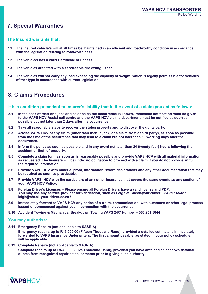## **7. Special Warranties**

#### **The Insured warrants that:**

- **7.1 The insured vehicle/s will at all times be maintained in an efficient and roadworthy condition in accordance with the legislation relating to roadworthiness**
- **7.2 The vehicle/s has a valid Certificate of Fitness**
- **7.3 The vehicles are fitted with a serviceable fire extinguisher**
- **7.4 The vehicles will not carry any load exceeding the capacity or weight, which is legally permissible for vehicles of that type in accordance with current legislation.**

## **8. Claims Procedures**

#### **It is a condition precedent to Insurer's liability that in the event of a claim you act as follows:**

- **8.1 In the case of theft or hijack and as soon as the occurrence is known, immediate notification must be given to the VAPS HCV Assist call centre and the VAPS HCV claims department must be notified as soon as possible but not later than 2 days after the occurrence.**
- **8.2 Take all reasonable steps to recover the stolen property and to discover the guilty party.**
- **8.3 Advise VAPS HCV of any claim (other than theft, hijack, or a claim from a third party), as soon as possible from the time of the occurrence that may lead to a claim but not later than 10 working days after the occurrence.**
- **8.4 Inform the police as soon as possible and in any event not later than 24 (twenty-four) hours following the accident or theft of property.**
- **8.5 Complete a claim form as soon as is reasonably possible and provide VAPS HCV with all material information as requested. The Insurers will be under no obligation to proceed with a claim if you do not provide, in full, the required information.**
- **8.6 Provide VAPS HCV with material proof, information, sworn declarations and any other documentation that may be required as soon as practicable.**
- **8.7 Provide VAPS HCV with the particulars of any other insurance that covers the same events as any section of your VAPS HCV Policy.**
- **8.8 Foreign Driver's Licenses – Please ensure all Foreign Drivers have a valid license and PDP. You may use any service provider for verification, such as Leigh at Check-your-driver: 084 597 6542 / leigh@check-your-driver.co.za /**
- **8.9 Immediately forward to VAPS HCV any notice of a claim, communication, writ, summons or other legal process issued or commenced against you in connection with the occurrence.**
- **8.10 Accident Towing & Mechanical Breakdown Towing VAPS 24/7 Number – 066 251 3044**

#### **You may authorise:**

**8.11 Emergency Repairs (not applicable to SASRIA)**

**Emergency repairs up to R15,000.00 (Fifteen Thousand Rand), provided a detailed estimate is immediately forwarded to VAPS Insurance Underwriters. The first amount payable, as stated in your policy schedule, will be applicable.**

**8.12 Complete Repairs (not applicable to SASRIA)**

**Complete repairs up to R5,000.00 (Five Thousand Rand), provided you have obtained at least two detailed quotes from recognized repair establishments prior to giving such authority.**

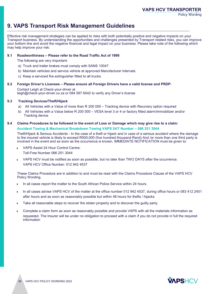## **9. VAPS Transport Risk Management Guidelines**

Effective risk management strategies can be applied to risks with both potentially positive and negative impacts on your Transport business. By understanding the opportunities and challenges presented by Transport related risks, you can improve your bottom line and avoid the negative financial and legal impact on your business. Please take note of the following which may help improve your risk:

### **9.1 Roadworthiness – Please refer to the Road Traffic Act of 1999**

The following are very important:

- a) Truck and trailer brakes must comply with SANS 10047.
- b) Maintain vehicles and service vehicle at approved Manufacturer intervals.
- c) Keep a serviced fire extinguisher fitted to all trucks.

### **9.2 Foreign Driver's Licenses – Please ensure all Foreign Drivers have a valid license and PRDP.**

Contact Leigh at Check-your-driver at leigh@check-your-driver.co.za or 084 597 6542 to verify any Driver's license

### **9.3 Tracking Devices/Theft/Hijack**

- a) All Vehicles with a Value of more than R 200 000 Tracking device with Recovery option required
- b) All Vehicles with a Value below R 200 000 VESA level 3 or 4 or factory fitted alarm/immobilizer and/or Tracking device

#### **9.4 Claims Procedures to be followed in the event of Loss or Damage which may give rise to a claim: Accident Towing & Mechanical Breakdown Towing VAPS 24/7 Number – 066 251 3044**

Theft/Hijack & Serious Accidents - In the case of a theft or hijack and in case of a serious accident where the damage to the insured vehicle is likely to exceed R500,000 (five hundred thousand Rand) And /or more than one third party is involved in the event and as soon as the occurrence is known, IMMEDIATE NOTIFICATION must be given to:

- VAPS Assist 24 Hour Control Centre: Toll-Free Number 066 251 3044
- VAPS HCV must be notified as soon as possible, but no later than TWO DAYS after the occurrence. VAPS HCV Office Number: 012 942 4537

These Claims Procedure are in addition to and must be read with the Claims Procedure Clause of the VAPS HCV Policy Wording.

- $\blacktriangleright$ In all cases report the matter to the South African Police Service within 24 hours.
- $\blacktriangleright$ In all cases advise VAPS HCV of the matter at the office number 012 942 4537, during office hours or 083 412 2451 after hours and as soon as reasonably possible but within 48 hours for thefts / hijacks
- Take all reasonable steps to recover the stolen property and to discover the guilty party.
- Complete a claim form as soon as reasonably possible and provide VAPS with all the materials information as requested. The Insurer will be under no obligation to proceed with a claim if you do not provide in full the required information

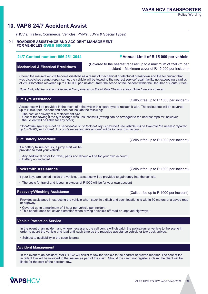## **10. VAPS 24/7 Accident Assist**

(HCV's, Trailers, Commercial Vehicles, PMV's, LDV's & Special Types)

#### 10.1 **ROADSIDE ASSISTANCE AND ACCIDENT MANAGEMENT FOR VEHICLES** OVER 3500KG

#### **24/7 Contact number: 066 251 3044**

**Mechanical & Electrical Breakdown**

(Covered to the nearest repairer up to a maximum of 250 km per incident – Maximum cover of R 15 000 per incident)

**Annual Limit of R 15 000 per vehicle**

Should the insured vehicle become disabled as a result of mechanical or electrical breakdown and the technician that was dispatched cannot repair same, the vehicle will be towed to the nearest service/repair facility not exceeding a radius of 250 kilometres (covered up to R15 000 per incident) from the scene of the incident within the Republic of South Africa.

*Note: Only Mechanical and Electrical Components on the Rolling Chassis and/or Drive Line are covered.*

#### **Flat Tyre Assistance** (Callout fee up to R 1000 per incident)

Assistance will be provided in the event of a flat tyre with a spare tyre to replace it with. The callout fee will be covered up to R1000 per incident and does not include the following:

- The cost or delivery of a replacement tyre
- Cost of the towing if the tyre change was unsuccessful (towing can be arranged to the nearest repairer, however the client will be liable for any costs)

*\*Should the spare tyre not be serviceable or no lock nut key is provided, the vehicle will be towed to the nearest repairer up to R1000 per incident. Any costs exceeding this amount will be for your own account.*

#### **Flat Battery Assistance**

If a battery failure occurs, a jump start will be provided to start your vehicle

- Any additional costs for travel, parts and labour will be for your own account.
- Battery not included.

#### **Locksmith Assistance**

If your keys are locked inside the vehicle, assistance will be provided to gain entry into the vehicle.

• The costs for travel and labour in excess of R1000 will be for your own account

#### **Recovery/Winching Assistance**

Provides assistance in extracting the vehicle when stuck in a ditch and such locations is within 50 meters of a paved road or highway.

- Covered up to a maximum of 1 hour per vehicle per incident
- This benefit does not cover extraction when driving a vehicle off-road or unpaved highways.

#### **Vehicle Protection Service**

In the event of an incident and where necessary, the call centre will dispatch the police/runner vehicle to the scene in order to guard the vehicle and load until such time as the roadside assistance vehicle or tow truck arrives.

• Subject to availability in the specific area

#### **Accident Management**

In the event of an accident, VAPS HCV will assist to tow the vehicle to the nearest approved repairer. The cost of the accident tow will be invoiced to the insurer as part of the claim. Should the client not register a claim, the client will be liable for the cost of the accident tow.



(Callout fee up to R 1000 per incident)

(Callout fee up to R 1000 per incident)

(Callout fee up to R 1000 per incident)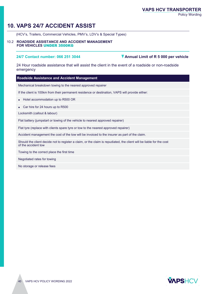## **10. VAPS 24/7 ACCIDENT ASSIST**

(HCV's, Trailers, Commercial Vehicles, PMV's, LDV's & Special Types)

#### 10.2 **ROADSIDE ASSISTANCE AND ACCIDENT MANAGEMENT FOR VEHICLES** UNDER 3500KG

#### **24/7 Contact number: 066 251 3044 Annual Limit of R 5 000 per vehicle**

24 Hour roadside assistance that will assist the client in the event of a roadside or non-roadside emergency

#### **Roadside Assistance and Accident Management**

Mechanical breakdown towing to the nearest approved repairer

If the client is 100km from their permanent residence or destination, VAPS will provide either:

• Hotel accommodation up to R500 OR

• Car hire for 24 hours up to R500

Locksmith (callout & labour)

Flat battery (jumpstart or towing of the vehicle to nearest approved repairer)

Flat tyre (replace with clients spare tyre or tow to the nearest approved repairer)

Accident management the cost of the tow will be invoiced to the insurer as part of the claim.

Should the client decide not to register a claim, or the claim is repudiated, the client will be liable for the cost of the accident tow

Towing to the correct place the first time

Negotiated rates for towing

No storage or release fees

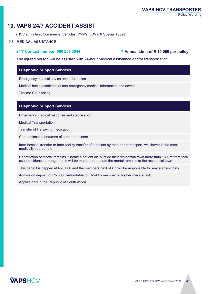#### **VAPS HCV TRANSPORTER**

Policy Wording

## **10. VAPS 24/7 ACCIDENT ASSIST**

(HCV's, Trailers, Commercial Vehicles, PMV's, LDV's & Special Types)

#### **10.3 MEDICAL ASSISTANCE**

**24/7 Contact number: 066 251 3044 Annual Limit of R 10 000 per policy** 

The injured person will be assisted with 24-hour medical assistance and/or transportation

#### **Telephonic Support Services**

Emergency medical advice and information

Medical hotline/confidential non-emergency medical information and advice

Trauma Counselling

#### **Telephonic Support Services**

Emergency medical response and stabilisation

Medical Transportation

Transfer of life saving medication

Companionship and/care of stranded minors

Inter-hospital transfer or Inter-facility transfer of a patient by road or air transport, whichever is the most medically appropriate

Repatriation of mortal remains. Should a patient die outside their residential town more than 180km from their usual residence, arrangements will be made to repatriate the mortal remains to the residential town

This benefit is capped at R20 000 and the members next of kin will be responsible for any surplus costs

Admission deposit of R5 000 (Refundable to ER24 by member or his/her medical aid)

Applies only in the Republic of South Africa